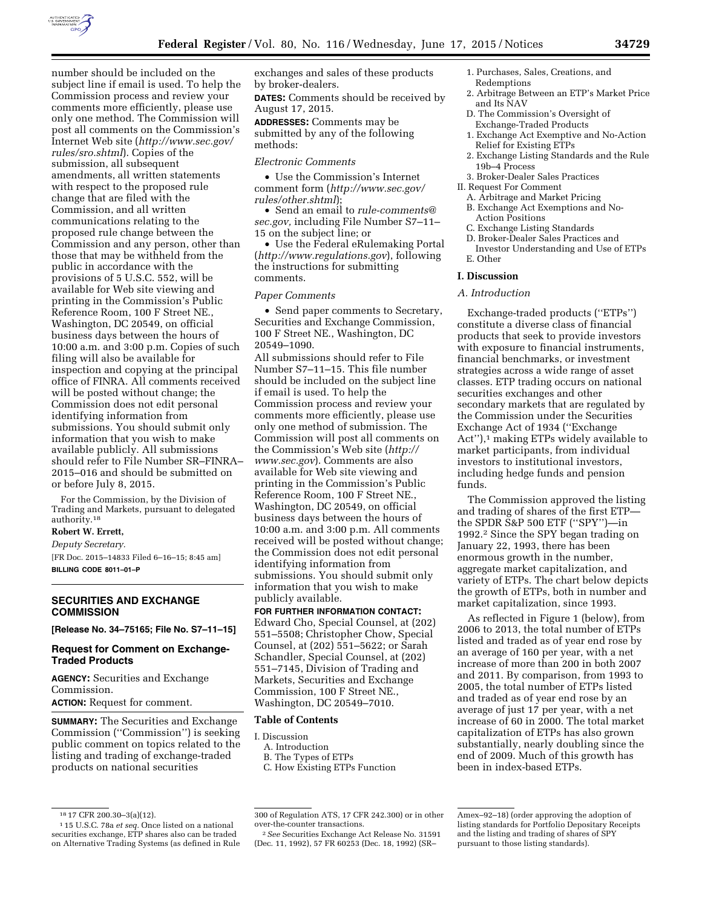

number should be included on the subject line if email is used. To help the Commission process and review your comments more efficiently, please use only one method. The Commission will post all comments on the Commission's Internet Web site (*[http://www.sec.gov/](http://www.sec.gov/rules/sro.shtml) [rules/sro.shtml](http://www.sec.gov/rules/sro.shtml)*). Copies of the submission, all subsequent amendments, all written statements with respect to the proposed rule change that are filed with the Commission, and all written communications relating to the proposed rule change between the Commission and any person, other than those that may be withheld from the public in accordance with the provisions of 5 U.S.C. 552, will be available for Web site viewing and printing in the Commission's Public Reference Room, 100 F Street NE., Washington, DC 20549, on official business days between the hours of 10:00 a.m. and 3:00 p.m. Copies of such filing will also be available for inspection and copying at the principal office of FINRA. All comments received will be posted without change; the Commission does not edit personal identifying information from submissions. You should submit only information that you wish to make available publicly. All submissions should refer to File Number SR–FINRA– 2015–016 and should be submitted on or before July 8, 2015.

For the Commission, by the Division of Trading and Markets, pursuant to delegated authority.18

# **Robert W. Errett,**

*Deputy Secretary.* 

[FR Doc. 2015–14833 Filed 6–16–15; 8:45 am] **BILLING CODE 8011–01–P** 

### **SECURITIES AND EXCHANGE COMMISSION**

**[Release No. 34–75165; File No. S7–11–15]** 

### **Request for Comment on Exchange-Traded Products**

**AGENCY:** Securities and Exchange Commission. **ACTION:** Request for comment.

**SUMMARY:** The Securities and Exchange Commission (''Commission'') is seeking public comment on topics related to the listing and trading of exchange-traded products on national securities

exchanges and sales of these products by broker-dealers.

**DATES:** Comments should be received by August 17, 2015.

**ADDRESSES:** Comments may be submitted by any of the following methods:

### *Electronic Comments*

• Use the Commission's Internet comment form (*[http://www.sec.gov/](http://www.sec.gov/rules/other.shtml) [rules/other.shtml](http://www.sec.gov/rules/other.shtml)*);

• Send an email to *[rule-comments@](mailto:rule-comments@sec.gov) [sec.gov,](mailto:rule-comments@sec.gov)* including File Number S7–11– 15 on the subject line; or

• Use the Federal eRulemaking Portal (*<http://www.regulations.gov>*), following the instructions for submitting comments.

#### *Paper Comments*

• Send paper comments to Secretary, Securities and Exchange Commission, 100 F Street NE., Washington, DC 20549–1090.

All submissions should refer to File Number S7–11–15. This file number should be included on the subject line if email is used. To help the Commission process and review your comments more efficiently, please use only one method of submission. The Commission will post all comments on the Commission's Web site (*[http://](http://www.sec.gov) [www.sec.gov](http://www.sec.gov)*). Comments are also available for Web site viewing and printing in the Commission's Public Reference Room, 100 F Street NE., Washington, DC 20549, on official business days between the hours of 10:00 a.m. and 3:00 p.m. All comments received will be posted without change; the Commission does not edit personal identifying information from submissions. You should submit only information that you wish to make publicly available.

### **FOR FURTHER INFORMATION CONTACT:**  Edward Cho, Special Counsel, at (202)

551–5508; Christopher Chow, Special Counsel, at (202) 551–5622; or Sarah Schandler, Special Counsel, at (202) 551–7145, Division of Trading and Markets, Securities and Exchange Commission, 100 F Street NE., Washington, DC 20549–7010.

### **Table of Contents**

- I. Discussion
	- A. Introduction
	- B. The Types of ETPs C. How Existing ETPs Function
	-
- 1. Purchases, Sales, Creations, and Redemptions
- 2. Arbitrage Between an ETP's Market Price and Its NAV
- D. The Commission's Oversight of Exchange-Traded Products
- 1. Exchange Act Exemptive and No-Action Relief for Existing ETPs
- 2. Exchange Listing Standards and the Rule 19b–4 Process
- 3. Broker-Dealer Sales Practices
- II. Request For Comment
	- A. Arbitrage and Market Pricing B. Exchange Act Exemptions and No-Action Positions
	- C. Exchange Listing Standards
	- D. Broker-Dealer Sales Practices and
	- Investor Understanding and Use of ETPs E. Other

### **I. Discussion**

### *A. Introduction*

Exchange-traded products (''ETPs'') constitute a diverse class of financial products that seek to provide investors with exposure to financial instruments, financial benchmarks, or investment strategies across a wide range of asset classes. ETP trading occurs on national securities exchanges and other secondary markets that are regulated by the Commission under the Securities Exchange Act of 1934 (''Exchange Act"),<sup>1</sup> making ETPs widely available to market participants, from individual investors to institutional investors, including hedge funds and pension funds.

The Commission approved the listing and trading of shares of the first ETP the SPDR S&P 500 ETF (''SPY'')—in 1992.2 Since the SPY began trading on January 22, 1993, there has been enormous growth in the number, aggregate market capitalization, and variety of ETPs. The chart below depicts the growth of ETPs, both in number and market capitalization, since 1993.

As reflected in Figure 1 (below), from 2006 to 2013, the total number of ETPs listed and traded as of year end rose by an average of 160 per year, with a net increase of more than 200 in both 2007 and 2011. By comparison, from 1993 to 2005, the total number of ETPs listed and traded as of year end rose by an average of just 17 per year, with a net increase of 60 in 2000. The total market capitalization of ETPs has also grown substantially, nearly doubling since the end of 2009. Much of this growth has been in index-based ETPs.

<sup>18</sup> 17 CFR 200.30–3(a)(12). 1 15 U.S.C. 78a *et seq.* Once listed on a national securities exchange, ETP shares also can be traded on Alternative Trading Systems (as defined in Rule

<sup>300</sup> of Regulation ATS, 17 CFR 242.300) or in other over-the-counter transactions.

<sup>2</sup>*See* Securities Exchange Act Release No. 31591 (Dec. 11, 1992), 57 FR 60253 (Dec. 18, 1992) (SR–

Amex–92–18) (order approving the adoption of listing standards for Portfolio Depositary Receipts and the listing and trading of shares of SPY pursuant to those listing standards).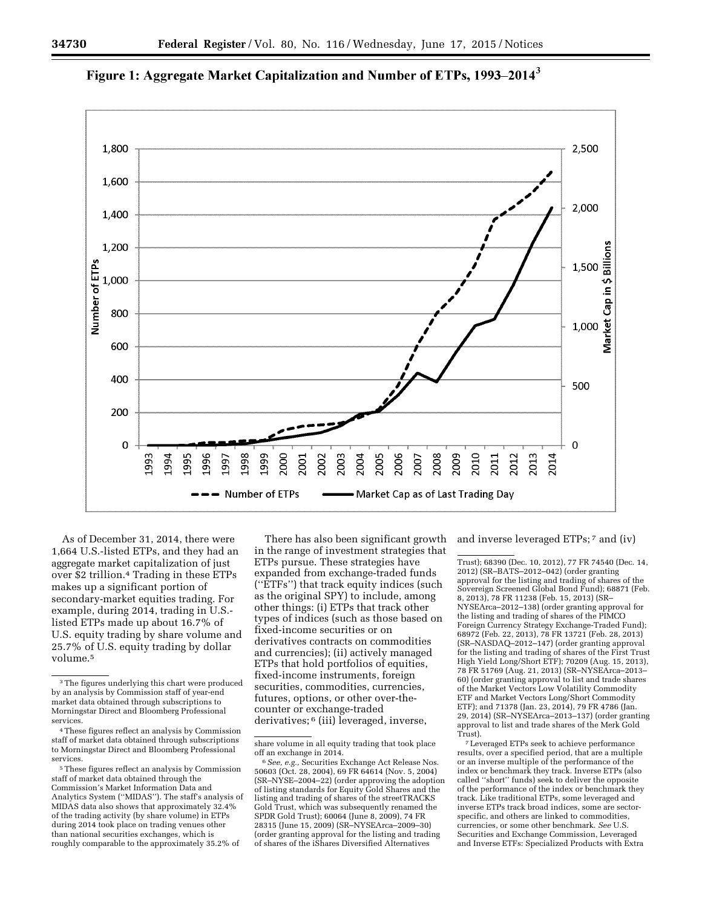

# Figure 1: Aggregate Market Capitalization and Number of ETPs, 1993–2014<sup>3</sup>

As of December 31, 2014, there were 1,664 U.S.-listed ETPs, and they had an aggregate market capitalization of just over \$2 trillion.4 Trading in these ETPs makes up a significant portion of secondary-market equities trading. For example, during 2014, trading in U.S. listed ETPs made up about 16.7% of U.S. equity trading by share volume and 25.7% of U.S. equity trading by dollar volume.5

There has also been significant growth in the range of investment strategies that ETPs pursue. These strategies have expanded from exchange-traded funds (''ETFs'') that track equity indices (such as the original SPY) to include, among other things: (i) ETPs that track other types of indices (such as those based on fixed-income securities or on derivatives contracts on commodities and currencies); (ii) actively managed ETPs that hold portfolios of equities, fixed-income instruments, foreign securities, commodities, currencies, futures, options, or other over-thecounter or exchange-traded derivatives; 6 (iii) leveraged, inverse,

and inverse leveraged ETPs; 7 and (iv)

Trust); 68390 (Dec. 10, 2012), 77 FR 74540 (Dec. 14, 2012) (SR–BATS–2012–042) (order granting approval for the listing and trading of shares of the Sovereign Screened Global Bond Fund); 68871 (Feb. 8, 2013), 78 FR 11238 (Feb. 15, 2013) (SR– NYSEArca–2012–138) (order granting approval for the listing and trading of shares of the PIMCO Foreign Currency Strategy Exchange-Traded Fund); 68972 (Feb. 22, 2013), 78 FR 13721 (Feb. 28, 2013) (SR–NASDAQ–2012–147) (order granting approval for the listing and trading of shares of the First Trust High Yield Long/Short ETF); 70209 (Aug. 15, 2013), 78 FR 51769 (Aug. 21, 2013) (SR–NYSEArca–2013– 60) (order granting approval to list and trade shares of the Market Vectors Low Volatility Commodity ETF and Market Vectors Long/Short Commodity ETF); and 71378 (Jan. 23, 2014), 79 FR 4786 (Jan. 29, 2014) (SR–NYSEArca–2013–137) (order granting approval to list and trade shares of the Merk Gold Trust).

7Leveraged ETPs seek to achieve performance results, over a specified period, that are a multiple or an inverse multiple of the performance of the index or benchmark they track. Inverse ETPs (also called ''short'' funds) seek to deliver the opposite of the performance of the index or benchmark they track. Like traditional ETPs, some leveraged and inverse ETPs track broad indices, some are sectorspecific, and others are linked to commodities, currencies, or some other benchmark. *See* U.S. Securities and Exchange Commission, Leveraged and Inverse ETFs: Specialized Products with Extra

<sup>3</sup>The figures underlying this chart were produced by an analysis by Commission staff of year-end market data obtained through subscriptions to Morningstar Direct and Bloomberg Professional services.

<sup>4</sup>These figures reflect an analysis by Commission staff of market data obtained through subscriptions to Morningstar Direct and Bloomberg Professional services.

<sup>5</sup>These figures reflect an analysis by Commission staff of market data obtained through the Commission's Market Information Data and Analytics System (''MIDAS''). The staff's analysis of MIDAS data also shows that approximately 32.4% of the trading activity (by share volume) in ETPs during 2014 took place on trading venues other than national securities exchanges, which is roughly comparable to the approximately 35.2% of

share volume in all equity trading that took place

<sup>&</sup>lt;sup>6</sup> See, e.g., Securities Exchange Act Release Nos. 50603 (Oct. 28, 2004), 69 FR 64614 (Nov. 5, 2004) (SR–NYSE–2004–22) (order approving the adoption of listing standards for Equity Gold Shares and the listing and trading of shares of the streetTRACKS Gold Trust, which was subsequently renamed the SPDR Gold Trust); 60064 (June 8, 2009), 74 FR 28315 (June 15, 2009) (SR–NYSEArca–2009–30) (order granting approval for the listing and trading of shares of the iShares Diversified Alternatives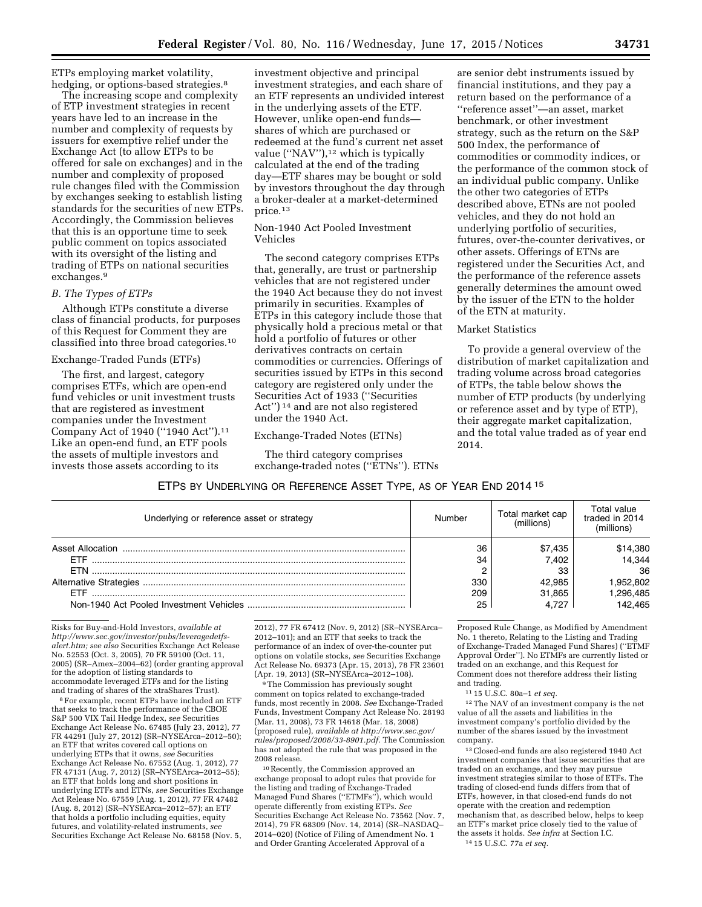ETPs employing market volatility, hedging, or options-based strategies.<sup>8</sup>

The increasing scope and complexity of ETP investment strategies in recent years have led to an increase in the number and complexity of requests by issuers for exemptive relief under the Exchange Act (to allow ETPs to be offered for sale on exchanges) and in the number and complexity of proposed rule changes filed with the Commission by exchanges seeking to establish listing standards for the securities of new ETPs. Accordingly, the Commission believes that this is an opportune time to seek public comment on topics associated with its oversight of the listing and trading of ETPs on national securities exchanges.9

# *B. The Types of ETPs*

Although ETPs constitute a diverse class of financial products, for purposes of this Request for Comment they are classified into three broad categories.10

### Exchange-Traded Funds (ETFs)

The first, and largest, category comprises ETFs, which are open-end fund vehicles or unit investment trusts that are registered as investment companies under the Investment Company Act of 1940 (''1940 Act'').11 Like an open-end fund, an ETF pools the assets of multiple investors and invests those assets according to its

investment objective and principal investment strategies, and each share of an ETF represents an undivided interest in the underlying assets of the ETF. However, unlike open-end funds shares of which are purchased or redeemed at the fund's current net asset value ("NAV"),<sup>12</sup> which is typically calculated at the end of the trading day—ETF shares may be bought or sold by investors throughout the day through a broker-dealer at a market-determined price.13

### Non-1940 Act Pooled Investment Vehicles

The second category comprises ETPs that, generally, are trust or partnership vehicles that are not registered under the 1940 Act because they do not invest primarily in securities. Examples of ETPs in this category include those that physically hold a precious metal or that hold a portfolio of futures or other derivatives contracts on certain commodities or currencies. Offerings of securities issued by ETPs in this second category are registered only under the Securities Act of 1933 (''Securities Act'') 14 and are not also registered under the 1940 Act.

### Exchange-Traded Notes (ETNs)

The third category comprises exchange-traded notes (''ETNs''). ETNs

are senior debt instruments issued by financial institutions, and they pay a return based on the performance of a ''reference asset''—an asset, market benchmark, or other investment strategy, such as the return on the S&P 500 Index, the performance of commodities or commodity indices, or the performance of the common stock of an individual public company. Unlike the other two categories of ETPs described above, ETNs are not pooled vehicles, and they do not hold an underlying portfolio of securities, futures, over-the-counter derivatives, or other assets. Offerings of ETNs are registered under the Securities Act, and the performance of the reference assets generally determines the amount owed by the issuer of the ETN to the holder of the ETN at maturity.

### Market Statistics

To provide a general overview of the distribution of market capitalization and trading volume across broad categories of ETPs, the table below shows the number of ETP products (by underlying or reference asset and by type of ETP), their aggregate market capitalization, and the total value traded as of year end 2014.

### ETPS BY UNDERLYING OR REFERENCE ASSET TYPE, AS OF YEAR END 2014 15

| Underlying or reference asset or strategy | Number | Total market cap<br>(millions) | Total value.<br>traded in 2014<br>millions) |
|-------------------------------------------|--------|--------------------------------|---------------------------------------------|
|                                           | 36     | \$7,435                        | \$14,380                                    |
| <b>FTF</b>                                | 34     | 7.402                          | 14.344                                      |
| <b>FTN</b>                                |        | 33                             | 36                                          |
|                                           | 330    | 42.985                         | .952.802                                    |
|                                           | 209    | 31.865                         | .296,485                                    |
|                                           | 25     | 4.727                          | 142.465                                     |

Risks for Buy-and-Hold Investors, *available at [http://www.sec.gov/investor/pubs/leveragedetfs](http://www.sec.gov/investor/pubs/leveragedetfs-alert.htm)[alert.htm;](http://www.sec.gov/investor/pubs/leveragedetfs-alert.htm) see also* Securities Exchange Act Release No. 52553 (Oct. 3, 2005), 70 FR 59100 (Oct. 11, 2005) (SR–Amex–2004–62) (order granting approval for the adoption of listing standards to accommodate leveraged ETFs and for the listing

<sup>8</sup> For example, recent ETPs have included an ETF that seeks to track the performance of the CBOE S&P 500 VIX Tail Hedge Index, *see* Securities Exchange Act Release No. 67485 (July 23, 2012), 77 FR 44291 (July 27, 2012) (SR–NYSEArca–2012–50); an ETF that writes covered call options on underlying ETPs that it owns, *see* Securities Exchange Act Release No. 67552 (Aug. 1, 2012), 77 FR 47131 (Aug. 7, 2012) (SR–NYSEArca–2012–55); an ETF that holds long and short positions in underlying ETFs and ETNs, *see* Securities Exchange Act Release No. 67559 (Aug. 1, 2012), 77 FR 47482 (Aug. 8, 2012) (SR–NYSEArca–2012–57); an ETF that holds a portfolio including equities, equity futures, and volatility-related instruments, *see*  Securities Exchange Act Release No. 68158 (Nov. 5,

2012), 77 FR 67412 (Nov. 9, 2012) (SR–NYSEArca– 2012–101); and an ETF that seeks to track the performance of an index of over-the-counter put options on volatile stocks, *see* Securities Exchange Act Release No. 69373 (Apr. 15, 2013), 78 FR 23601 (Apr. 19, 2013) (SR–NYSEArca–2012–108).

9The Commission has previously sought comment on topics related to exchange-traded funds, most recently in 2008. *See* Exchange-Traded Funds, Investment Company Act Release No. 28193 (Mar. 11, 2008), 73 FR 14618 (Mar. 18, 2008) (proposed rule), *available at [http://www.sec.gov/](http://www.sec.gov/rules/proposed/2008/33-8901.pdf) [rules/proposed/2008/33-8901.pdf.](http://www.sec.gov/rules/proposed/2008/33-8901.pdf)* The Commission has not adopted the rule that was proposed in the 2008 release.

10Recently, the Commission approved an exchange proposal to adopt rules that provide for the listing and trading of Exchange-Traded Managed Fund Shares (''ETMFs''), which would operate differently from existing ETPs. *See*  Securities Exchange Act Release No. 73562 (Nov. 7, 2014), 79 FR 68309 (Nov. 14, 2014) (SR–NASDAQ– 2014–020) (Notice of Filing of Amendment No. 1 and Order Granting Accelerated Approval of a

Proposed Rule Change, as Modified by Amendment No. 1 thereto, Relating to the Listing and Trading of Exchange-Traded Managed Fund Shares) (''ETMF Approval Order''). No ETMFs are currently listed or traded on an exchange, and this Request for Comment does not therefore address their listing and trading.

11 15 U.S.C. 80a–1 *et seq.* 

 $\rm ^{12}$  The NAV of an investment company is the net value of all the assets and liabilities in the investment company's portfolio divided by the number of the shares issued by the investment company.

13Closed-end funds are also registered 1940 Act investment companies that issue securities that are traded on an exchange, and they may pursue investment strategies similar to those of ETFs. The trading of closed-end funds differs from that of ETFs, however, in that closed-end funds do not operate with the creation and redemption mechanism that, as described below, helps to keep an ETF's market price closely tied to the value of the assets it holds. *See infra* at Section I.C. 14 15 U.S.C. 77a *et seq.*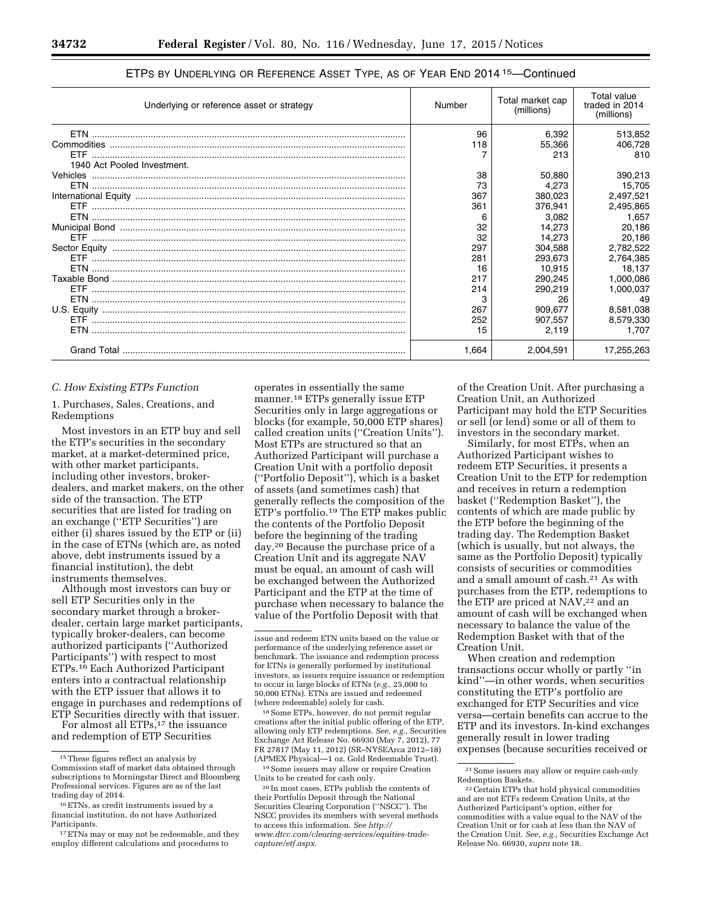| Underlying or reference asset or strategy | Number    | Total market cap<br>(millions) | <b>Total value</b><br>traded in 2014<br>(millions) |
|-------------------------------------------|-----------|--------------------------------|----------------------------------------------------|
|                                           | 96<br>118 | 6,392<br>55,366<br>213         | 513,852<br>406,728<br>810                          |
| 1940 Act Pooled Investment.               |           |                                |                                                    |
|                                           | 38        | 50,880                         | 390,213                                            |
|                                           | 73        | 4,273                          | 15,705                                             |
|                                           | 367       | 380.023                        | 2,497,521                                          |
|                                           | 361       | 376.941                        | 2,495,865                                          |
|                                           | 6         | 3.082                          | 1.657                                              |
|                                           | 32        | 14.273                         | 20.186                                             |
|                                           | 32        | 14.273                         | 20,186                                             |
|                                           | 297       | 304,588                        | 2,782,522                                          |
|                                           | 281       | 293.673                        | 2,764,385                                          |
|                                           | 16        | 10.915                         | 18.137                                             |
|                                           | 217       | 290.245                        | 1,000,086                                          |
|                                           | 214       | 290.219                        | 1,000,037                                          |
|                                           | 3         | 26                             | 49                                                 |
|                                           | 267       | 909,677                        | 8,581,038                                          |
|                                           | 252       | 907.557                        | 8,579,330                                          |
|                                           | 15        | 2,119                          | 1.707                                              |
|                                           | 1.664     | 2,004,591                      | 17,255,263                                         |

### ETPS BY UNDERLYING OR REFERENCE ASSET TYPE, AS OF YEAR END 2014 15—Continued

#### *C. How Existing ETPs Function*

1. Purchases, Sales, Creations, and Redemptions

Most investors in an ETP buy and sell the ETP's securities in the secondary market, at a market-determined price, with other market participants, including other investors, brokerdealers, and market makers, on the other side of the transaction. The ETP securities that are listed for trading on an exchange (''ETP Securities'') are either (i) shares issued by the ETP or (ii) in the case of ETNs (which are, as noted above, debt instruments issued by a financial institution), the debt instruments themselves.

Although most investors can buy or sell ETP Securities only in the secondary market through a brokerdealer, certain large market participants, typically broker-dealers, can become authorized participants (''Authorized Participants'') with respect to most ETPs.16 Each Authorized Participant enters into a contractual relationship with the ETP issuer that allows it to engage in purchases and redemptions of ETP Securities directly with that issuer.

For almost all ETPs,<sup>17</sup> the issuance and redemption of ETP Securities

operates in essentially the same manner.18 ETPs generally issue ETP Securities only in large aggregations or blocks (for example, 50,000 ETP shares) called creation units (''Creation Units''). Most ETPs are structured so that an Authorized Participant will purchase a Creation Unit with a portfolio deposit (''Portfolio Deposit''), which is a basket of assets (and sometimes cash) that generally reflects the composition of the ETP's portfolio.19 The ETP makes public the contents of the Portfolio Deposit before the beginning of the trading day.20 Because the purchase price of a Creation Unit and its aggregate NAV must be equal, an amount of cash will be exchanged between the Authorized Participant and the ETP at the time of purchase when necessary to balance the value of the Portfolio Deposit with that

18Some ETPs, however, do not permit regular creations after the initial public offering of the ETP, allowing only ETP redemptions. *See, e.g.,* Securities Exchange Act Release No. 66930 (May 7, 2012), 77 FR 27817 (May 11, 2012) (SR–NYSEArca 2012–18) (APMEX Physical—1 oz. Gold Redeemable Trust).

19Some issuers may allow or require Creation Units to be created for cash only.

of the Creation Unit. After purchasing a Creation Unit, an Authorized Participant may hold the ETP Securities or sell (or lend) some or all of them to investors in the secondary market.

Similarly, for most ETPs, when an Authorized Participant wishes to redeem ETP Securities, it presents a Creation Unit to the ETP for redemption and receives in return a redemption basket (''Redemption Basket''), the contents of which are made public by the ETP before the beginning of the trading day. The Redemption Basket (which is usually, but not always, the same as the Portfolio Deposit) typically consists of securities or commodities and a small amount of cash.21 As with purchases from the ETP, redemptions to the ETP are priced at NAV,<sup>22</sup> and an amount of cash will be exchanged when necessary to balance the value of the Redemption Basket with that of the Creation Unit.

When creation and redemption transactions occur wholly or partly ''in kind''—in other words, when securities constituting the ETP's portfolio are exchanged for ETP Securities and vice versa—certain benefits can accrue to the ETP and its investors. In-kind exchanges generally result in lower trading expenses (because securities received or

<sup>15</sup>These figures reflect an analysis by Commission staff of market data obtained through subscriptions to Morningstar Direct and Bloomberg Professional services. Figures are as of the last trading day of 2014.

<sup>16</sup>ETNs, as credit instruments issued by a financial institution, do not have Authorized Participants.

<sup>&</sup>lt;sup>17</sup> ETNs may or may not be redeemable, and they employ different calculations and procedures to

issue and redeem ETN units based on the value or performance of the underlying reference asset or benchmark. The issuance and redemption process for ETNs is generally performed by institutional investors, as issuers require issuance or redemption to occur in large blocks of ETNs (*e.g.,* 25,000 to 50,000 ETNs). ETNs are issued and redeemed (where redeemable) solely for cash.

<sup>20</sup> In most cases, ETPs publish the contents of their Portfolio Deposit through the National Securities Clearing Corporation (''NSCC''). The NSCC provides its members with several methods to access this information. *See [http://](http://www.dtcc.com/clearing-services/equities-trade-capture/etf.aspx) [www.dtcc.com/clearing-services/equities-trade](http://www.dtcc.com/clearing-services/equities-trade-capture/etf.aspx)[capture/etf.aspx.](http://www.dtcc.com/clearing-services/equities-trade-capture/etf.aspx)* 

 $^{21}$  Some issuers may allow or require cash-only Redemption Baskets.

<sup>&</sup>lt;sup>22</sup> Certain ETPs that hold physical commodities and are not ETFs redeem Creation Units, at the Authorized Participant's option, either for commodities with a value equal to the NAV of the Creation Unit or for cash at less than the NAV of the Creation Unit. *See, e.g.,* Securities Exchange Act Release No. 66930, *supra* note 18.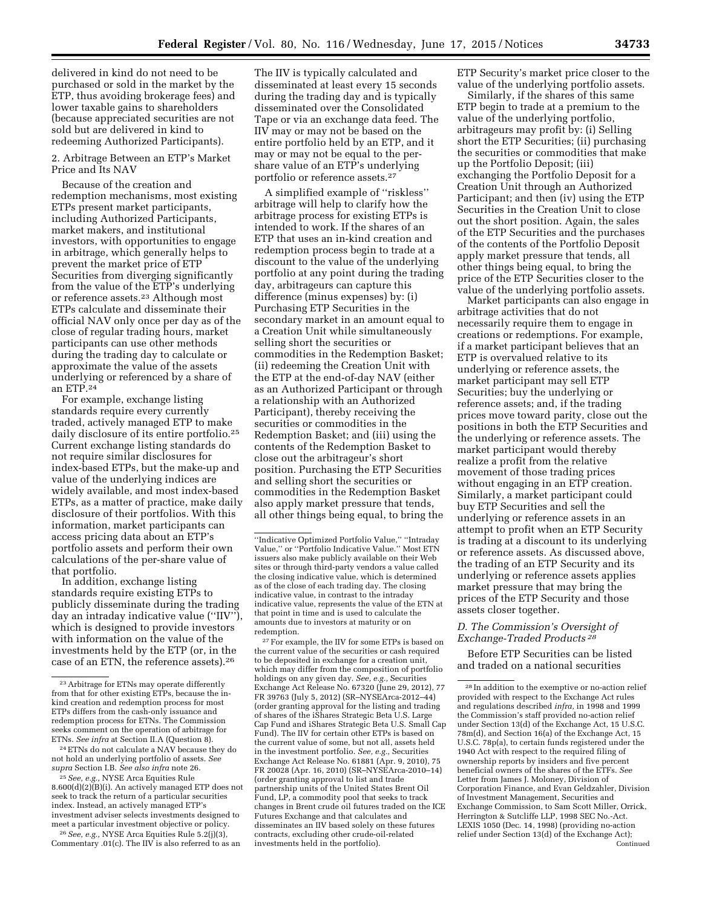delivered in kind do not need to be purchased or sold in the market by the ETP, thus avoiding brokerage fees) and lower taxable gains to shareholders (because appreciated securities are not sold but are delivered in kind to redeeming Authorized Participants).

### 2. Arbitrage Between an ETP's Market Price and Its NAV

Because of the creation and redemption mechanisms, most existing ETPs present market participants, including Authorized Participants, market makers, and institutional investors, with opportunities to engage in arbitrage, which generally helps to prevent the market price of ETP Securities from diverging significantly from the value of the ETP's underlying or reference assets.23 Although most ETPs calculate and disseminate their official NAV only once per day as of the close of regular trading hours, market participants can use other methods during the trading day to calculate or approximate the value of the assets underlying or referenced by a share of an ETP.24

For example, exchange listing standards require every currently traded, actively managed ETP to make daily disclosure of its entire portfolio.<sup>25</sup> Current exchange listing standards do not require similar disclosures for index-based ETPs, but the make-up and value of the underlying indices are widely available, and most index-based ETPs, as a matter of practice, make daily disclosure of their portfolios. With this information, market participants can access pricing data about an ETP's portfolio assets and perform their own calculations of the per-share value of that portfolio.

In addition, exchange listing standards require existing ETPs to publicly disseminate during the trading day an intraday indicative value (''IIV''), which is designed to provide investors with information on the value of the investments held by the ETP (or, in the case of an ETN, the reference assets).26

24ETNs do not calculate a NAV because they do not hold an underlying portfolio of assets. *See supra* Section I.B. *See also infra* note 26.

26*See, e.g.,* NYSE Arca Equities Rule 5.2(j)(3), Commentary .01(c). The IIV is also referred to as an

The IIV is typically calculated and disseminated at least every 15 seconds during the trading day and is typically disseminated over the Consolidated Tape or via an exchange data feed. The IIV may or may not be based on the entire portfolio held by an ETP, and it may or may not be equal to the pershare value of an ETP's underlying portfolio or reference assets.27

A simplified example of ''riskless'' arbitrage will help to clarify how the arbitrage process for existing ETPs is intended to work. If the shares of an ETP that uses an in-kind creation and redemption process begin to trade at a discount to the value of the underlying portfolio at any point during the trading day, arbitrageurs can capture this difference (minus expenses) by: (i) Purchasing ETP Securities in the secondary market in an amount equal to a Creation Unit while simultaneously selling short the securities or commodities in the Redemption Basket; (ii) redeeming the Creation Unit with the ETP at the end-of-day NAV (either as an Authorized Participant or through a relationship with an Authorized Participant), thereby receiving the securities or commodities in the Redemption Basket; and (iii) using the contents of the Redemption Basket to close out the arbitrageur's short position. Purchasing the ETP Securities and selling short the securities or commodities in the Redemption Basket also apply market pressure that tends, all other things being equal, to bring the

27For example, the IIV for some ETPs is based on the current value of the securities or cash required to be deposited in exchange for a creation unit, which may differ from the composition of portfolio holdings on any given day. *See, e.g.,* Securities Exchange Act Release No. 67320 (June 29, 2012), 77 FR 39763 (July 5, 2012) (SR–NYSEArca-2012–44) (order granting approval for the listing and trading of shares of the iShares Strategic Beta U.S. Large Cap Fund and iShares Strategic Beta U.S. Small Cap Fund). The IIV for certain other ETPs is based on the current value of some, but not all, assets held in the investment portfolio. *See, e.g.,* Securities Exchange Act Release No. 61881 (Apr. 9, 2010), 75 FR 20028 (Apr. 16, 2010) (SR–NYSEArca-2010–14) (order granting approval to list and trade partnership units of the United States Brent Oil Fund, LP, a commodity pool that seeks to track changes in Brent crude oil futures traded on the ICE Futures Exchange and that calculates and disseminates an IIV based solely on these futures contracts, excluding other crude-oil-related investments held in the portfolio).

ETP Security's market price closer to the value of the underlying portfolio assets.

Similarly, if the shares of this same ETP begin to trade at a premium to the value of the underlying portfolio, arbitrageurs may profit by: (i) Selling short the ETP Securities; (ii) purchasing the securities or commodities that make up the Portfolio Deposit; (iii) exchanging the Portfolio Deposit for a Creation Unit through an Authorized Participant; and then (iv) using the ETP Securities in the Creation Unit to close out the short position. Again, the sales of the ETP Securities and the purchases of the contents of the Portfolio Deposit apply market pressure that tends, all other things being equal, to bring the price of the ETP Securities closer to the value of the underlying portfolio assets.

Market participants can also engage in arbitrage activities that do not necessarily require them to engage in creations or redemptions. For example, if a market participant believes that an ETP is overvalued relative to its underlying or reference assets, the market participant may sell ETP Securities; buy the underlying or reference assets; and, if the trading prices move toward parity, close out the positions in both the ETP Securities and the underlying or reference assets. The market participant would thereby realize a profit from the relative movement of those trading prices without engaging in an ETP creation. Similarly, a market participant could buy ETP Securities and sell the underlying or reference assets in an attempt to profit when an ETP Security is trading at a discount to its underlying or reference assets. As discussed above, the trading of an ETP Security and its underlying or reference assets applies market pressure that may bring the prices of the ETP Security and those assets closer together.

### *D. The Commission's Oversight of Exchange-Traded Products 28*

Before ETP Securities can be listed and traded on a national securities

<sup>23</sup>Arbitrage for ETNs may operate differently from that for other existing ETPs, because the inkind creation and redemption process for most ETPs differs from the cash-only issuance and redemption process for ETNs. The Commission seeks comment on the operation of arbitrage for ETNs. *See infra* at Section II.A (Question 8).

<sup>25</sup>*See, e.g.,* NYSE Arca Equities Rule 8.600(d)(2)(B)(i). An actively managed ETP does not seek to track the return of a particular securities index. Instead, an actively managed ETP's investment adviser selects investments designed to meet a particular investment objective or policy.

<sup>&#</sup>x27;'Indicative Optimized Portfolio Value,'' ''Intraday Value,'' or ''Portfolio Indicative Value.'' Most ETN issuers also make publicly available on their Web sites or through third-party vendors a value called the closing indicative value, which is determined as of the close of each trading day. The closing indicative value, in contrast to the intraday indicative value, represents the value of the ETN at that point in time and is used to calculate the amounts due to investors at maturity or on redemption.

<sup>28</sup> In addition to the exemptive or no-action relief provided with respect to the Exchange Act rules and regulations described *infra,* in 1998 and 1999 the Commission's staff provided no-action relief under Section 13(d) of the Exchange Act, 15 U.S.C. 78m(d), and Section 16(a) of the Exchange Act, 15 U.S.C. 78p(a), to certain funds registered under the 1940 Act with respect to the required filing of ownership reports by insiders and five percent beneficial owners of the shares of the ETFs. *See*  Letter from James J. Moloney, Division of Corporation Finance, and Evan Geldzahler, Division of Investment Management, Securities and Exchange Commission, to Sam Scott Miller, Orrick, Herrington & Sutcliffe LLP, 1998 SEC No.-Act. LEXIS 1050 (Dec. 14, 1998) (providing no-action relief under Section 13(d) of the Exchange Act); Continued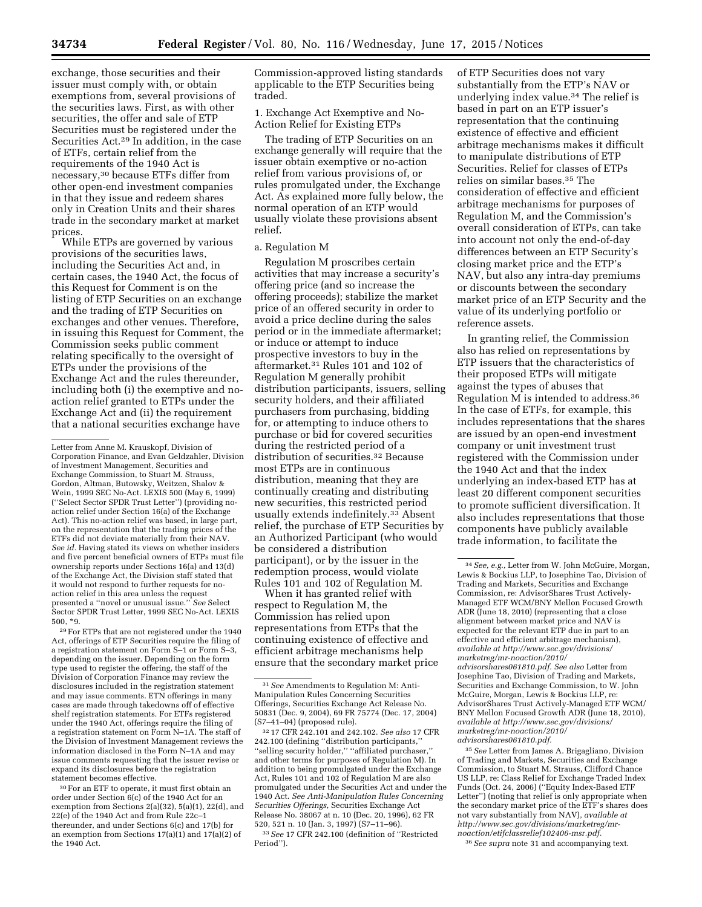exchange, those securities and their issuer must comply with, or obtain exemptions from, several provisions of the securities laws. First, as with other securities, the offer and sale of ETP Securities must be registered under the Securities Act.29 In addition, in the case of ETFs, certain relief from the requirements of the 1940 Act is necessary,30 because ETFs differ from other open-end investment companies in that they issue and redeem shares only in Creation Units and their shares trade in the secondary market at market prices.

While ETPs are governed by various provisions of the securities laws, including the Securities Act and, in certain cases, the 1940 Act, the focus of this Request for Comment is on the listing of ETP Securities on an exchange and the trading of ETP Securities on exchanges and other venues. Therefore, in issuing this Request for Comment, the Commission seeks public comment relating specifically to the oversight of ETPs under the provisions of the Exchange Act and the rules thereunder, including both (i) the exemptive and noaction relief granted to ETPs under the Exchange Act and (ii) the requirement that a national securities exchange have

29For ETPs that are not registered under the 1940 Act, offerings of ETP Securities require the filing of a registration statement on Form S–1 or Form S–3, depending on the issuer. Depending on the form type used to register the offering, the staff of the Division of Corporation Finance may review the disclosures included in the registration statement and may issue comments. ETN offerings in many cases are made through takedowns off of effective shelf registration statements. For ETFs registered under the 1940 Act, offerings require the filing of a registration statement on Form N–1A. The staff of the Division of Investment Management reviews the information disclosed in the Form N–1A and may issue comments requesting that the issuer revise or expand its disclosures before the registration statement becomes effective.

30For an ETF to operate, it must first obtain an order under Section 6(c) of the 1940 Act for an exemption from Sections 2(a)(32), 5(a)(1), 22(d), and 22(e) of the 1940 Act and from Rule 22c–1 thereunder, and under Sections 6(c) and 17(b) for an exemption from Sections 17(a)(1) and 17(a)(2) of the 1940 Act.

Commission-approved listing standards applicable to the ETP Securities being traded.

1. Exchange Act Exemptive and No-Action Relief for Existing ETPs

The trading of ETP Securities on an exchange generally will require that the issuer obtain exemptive or no-action relief from various provisions of, or rules promulgated under, the Exchange Act. As explained more fully below, the normal operation of an ETP would usually violate these provisions absent relief.

#### a. Regulation M

Regulation M proscribes certain activities that may increase a security's offering price (and so increase the offering proceeds); stabilize the market price of an offered security in order to avoid a price decline during the sales period or in the immediate aftermarket; or induce or attempt to induce prospective investors to buy in the aftermarket.31 Rules 101 and 102 of Regulation M generally prohibit distribution participants, issuers, selling security holders, and their affiliated purchasers from purchasing, bidding for, or attempting to induce others to purchase or bid for covered securities during the restricted period of a distribution of securities.32 Because most ETPs are in continuous distribution, meaning that they are continually creating and distributing new securities, this restricted period usually extends indefinitely.33 Absent relief, the purchase of ETP Securities by an Authorized Participant (who would be considered a distribution participant), or by the issuer in the redemption process, would violate Rules 101 and 102 of Regulation M.

When it has granted relief with respect to Regulation M, the Commission has relied upon representations from ETPs that the continuing existence of effective and efficient arbitrage mechanisms help ensure that the secondary market price of ETP Securities does not vary substantially from the ETP's NAV or underlying index value.34 The relief is based in part on an ETP issuer's representation that the continuing existence of effective and efficient arbitrage mechanisms makes it difficult to manipulate distributions of ETP Securities. Relief for classes of ETPs relies on similar bases.35 The consideration of effective and efficient arbitrage mechanisms for purposes of Regulation M, and the Commission's overall consideration of ETPs, can take into account not only the end-of-day differences between an ETP Security's closing market price and the ETP's NAV, but also any intra-day premiums or discounts between the secondary market price of an ETP Security and the value of its underlying portfolio or reference assets.

In granting relief, the Commission also has relied on representations by ETP issuers that the characteristics of their proposed ETPs will mitigate against the types of abuses that Regulation M is intended to address.36 In the case of ETFs, for example, this includes representations that the shares are issued by an open-end investment company or unit investment trust registered with the Commission under the 1940 Act and that the index underlying an index-based ETP has at least 20 different component securities to promote sufficient diversification. It also includes representations that those components have publicly available trade information, to facilitate the

35*See* Letter from James A. Brigagliano, Division of Trading and Markets, Securities and Exchange Commission, to Stuart M. Strauss, Clifford Chance US LLP, re: Class Relief for Exchange Traded Index Funds (Oct. 24, 2006) (''Equity Index-Based ETF Letter'') (noting that relief is only appropriate when the secondary market price of the ETF's shares does not vary substantially from NAV), *available at [http://www.sec.gov/divisions/marketreg/mr](http://www.sec.gov/divisions/marketreg/mr-noaction/etifclassrelief102406-msr.pdf)[noaction/etifclassrelief102406-msr.pdf.](http://www.sec.gov/divisions/marketreg/mr-noaction/etifclassrelief102406-msr.pdf)* 

36*See supra* note 31 and accompanying text.

Letter from Anne M. Krauskopf, Division of Corporation Finance, and Evan Geldzahler, Division of Investment Management, Securities and Exchange Commission, to Stuart M. Strauss, Gordon, Altman, Butowsky, Weitzen, Shalov & Wein, 1999 SEC No-Act. LEXIS 500 (May 6, 1999) (''Select Sector SPDR Trust Letter'') (providing noaction relief under Section 16(a) of the Exchange Act). This no-action relief was based, in large part, on the representation that the trading prices of the ETFs did not deviate materially from their NAV. *See id.* Having stated its views on whether insiders and five percent beneficial owners of ETPs must file ownership reports under Sections 16(a) and 13(d) of the Exchange Act, the Division staff stated that it would not respond to further requests for noaction relief in this area unless the request presented a ''novel or unusual issue.'' *See* Select Sector SPDR Trust Letter, 1999 SEC No-Act. LEXIS 500, \*9.

<sup>31</sup>*See* Amendments to Regulation M: Anti-Manipulation Rules Concerning Securities Offerings, Securities Exchange Act Release No. 50831 (Dec. 9, 2004), 69 FR 75774 (Dec. 17, 2004) (S7–41–04) (proposed rule).

<sup>32</sup> 17 CFR 242.101 and 242.102. *See also* 17 CFR 242.100 (defining ''distribution participants,'' ''selling security holder,'' ''affiliated purchaser,'' and other terms for purposes of Regulation M). In addition to being promulgated under the Exchange Act, Rules 101 and 102 of Regulation M are also promulgated under the Securities Act and under the 1940 Act. *See Anti-Manipulation Rules Concerning Securities Offerings,* Securities Exchange Act Release No. 38067 at n. 10 (Dec. 20, 1996), 62 FR 520, 521 n. 10 (Jan. 3, 1997) (S7–11–96).

<sup>33</sup>*See* 17 CFR 242.100 (definition of ''Restricted Period'').

<sup>34</sup>*See, e.g.,* Letter from W. John McGuire, Morgan, Lewis & Bockius LLP, to Josephine Tao, Division of Trading and Markets, Securities and Exchange Commission, re: AdvisorShares Trust Actively-Managed ETF WCM/BNY Mellon Focused Growth ADR (June 18, 2010) (representing that a close alignment between market price and NAV is expected for the relevant ETP due in part to an effective and efficient arbitrage mechanism), *available at [http://www.sec.gov/divisions/](http://www.sec.gov/divisions/marketreg/mr-noaction/2010/advisorshares061810.pdf) [marketreg/mr-noaction/2010/](http://www.sec.gov/divisions/marketreg/mr-noaction/2010/advisorshares061810.pdf)  [advisorshares061810.pdf.](http://www.sec.gov/divisions/marketreg/mr-noaction/2010/advisorshares061810.pdf) See also* Letter from Josephine Tao, Division of Trading and Markets, Securities and Exchange Commission, to W. John McGuire, Morgan, Lewis & Bockius LLP, re: AdvisorShares Trust Actively-Managed ETF WCM/ BNY Mellon Focused Growth ADR (June 18, 2010), *available at [http://www.sec.gov/divisions/](http://www.sec.gov/divisions/marketreg/mr-noaction/2010/advisorshares061810.pdf) [marketreg/mr-noaction/2010/](http://www.sec.gov/divisions/marketreg/mr-noaction/2010/advisorshares061810.pdf)  [advisorshares061810.pdf.](http://www.sec.gov/divisions/marketreg/mr-noaction/2010/advisorshares061810.pdf)*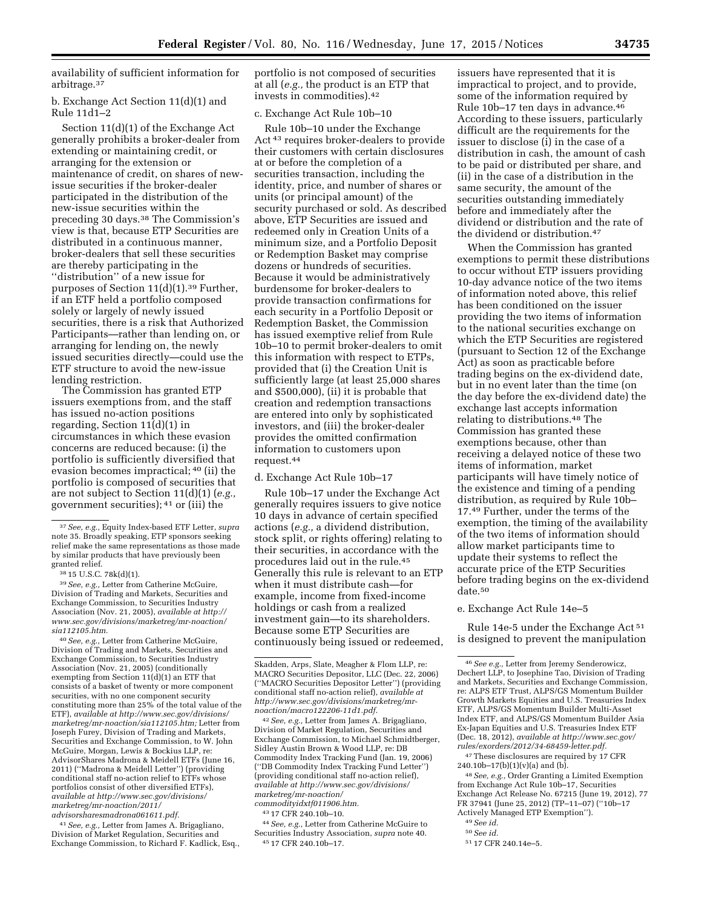availability of sufficient information for arbitrage.37

b. Exchange Act Section 11(d)(1) and Rule  $11d1-2$ 

Section 11(d)(1) of the Exchange Act generally prohibits a broker-dealer from extending or maintaining credit, or arranging for the extension or maintenance of credit, on shares of newissue securities if the broker-dealer participated in the distribution of the new-issue securities within the preceding 30 days.38 The Commission's view is that, because ETP Securities are distributed in a continuous manner, broker-dealers that sell these securities are thereby participating in the ''distribution'' of a new issue for purposes of Section 11(d)(1).39 Further, if an ETF held a portfolio composed solely or largely of newly issued securities, there is a risk that Authorized Participants—rather than lending on, or arranging for lending on, the newly issued securities directly—could use the ETF structure to avoid the new-issue lending restriction.

The Commission has granted ETP issuers exemptions from, and the staff has issued no-action positions regarding, Section 11(d)(1) in circumstances in which these evasion concerns are reduced because: (i) the portfolio is sufficiently diversified that evasion becomes impractical; 40 (ii) the portfolio is composed of securities that are not subject to Section 11(d)(1) (*e.g.,*  government securities); 41 or (iii) the

38 15 U.S.C. 78k(d)(1).

39*See, e.g.,* Letter from Catherine McGuire, Division of Trading and Markets, Securities and Exchange Commission, to Securities Industry Association (Nov. 21, 2005), *available at [http://](http://www.sec.gov/divisions/marketreg/mr-noaction/sia112105.htm)  [www.sec.gov/divisions/marketreg/mr-noaction/](http://www.sec.gov/divisions/marketreg/mr-noaction/sia112105.htm)  [sia112105.htm.](http://www.sec.gov/divisions/marketreg/mr-noaction/sia112105.htm)* 

40*See, e.g.,* Letter from Catherine McGuire, Division of Trading and Markets, Securities and Exchange Commission, to Securities Industry Association (Nov. 21, 2005) (conditionally exempting from Section 11(d)(1) an ETF that consists of a basket of twenty or more component securities, with no one component security constituting more than 25% of the total value of the ETF), *available at [http://www.sec.gov/divisions/](http://www.sec.gov/divisions/marketreg/mr-noaction/sia112105.htm)  [marketreg/mr-noaction/sia112105.htm;](http://www.sec.gov/divisions/marketreg/mr-noaction/sia112105.htm)* Letter from Joseph Furey, Division of Trading and Markets, Securities and Exchange Commission, to W. John McGuire, Morgan, Lewis & Bockius LLP, re: AdvisorShares Madrona & Meidell ETFs (June 16, 2011) (''Madrona & Meidell Letter'') (providing conditional staff no-action relief to ETFs whose portfolios consist of other diversified ETFs), *available at [http://www.sec.gov/divisions/](http://www.sec.gov/divisions/marketreg/mr-noaction/2011/advisorsharesmadrona061611.pdf) [marketreg/mr-noaction/2011/](http://www.sec.gov/divisions/marketreg/mr-noaction/2011/advisorsharesmadrona061611.pdf)  [advisorsharesmadrona061611.pdf.](http://www.sec.gov/divisions/marketreg/mr-noaction/2011/advisorsharesmadrona061611.pdf)* 

41*See, e.g.,* Letter from James A. Brigagliano, Division of Market Regulation, Securities and Exchange Commission, to Richard F. Kadlick, Esq., portfolio is not composed of securities at all (*e.g.,* the product is an ETP that invests in commodities).42

### c. Exchange Act Rule 10b–10

Rule 10b–10 under the Exchange Act 43 requires broker-dealers to provide their customers with certain disclosures at or before the completion of a securities transaction, including the identity, price, and number of shares or units (or principal amount) of the security purchased or sold. As described above, ETP Securities are issued and redeemed only in Creation Units of a minimum size, and a Portfolio Deposit or Redemption Basket may comprise dozens or hundreds of securities. Because it would be administratively burdensome for broker-dealers to provide transaction confirmations for each security in a Portfolio Deposit or Redemption Basket, the Commission has issued exemptive relief from Rule 10b–10 to permit broker-dealers to omit this information with respect to ETPs, provided that (i) the Creation Unit is sufficiently large (at least 25,000 shares and \$500,000), (ii) it is probable that creation and redemption transactions are entered into only by sophisticated investors, and (iii) the broker-dealer provides the omitted confirmation information to customers upon request.44

d. Exchange Act Rule 10b–17

Rule 10b–17 under the Exchange Act generally requires issuers to give notice 10 days in advance of certain specified actions (*e.g.,* a dividend distribution, stock split, or rights offering) relating to their securities, in accordance with the procedures laid out in the rule.45 Generally this rule is relevant to an ETP when it must distribute cash—for example, income from fixed-income holdings or cash from a realized investment gain—to its shareholders. Because some ETP Securities are continuously being issued or redeemed,

42*See, e.g.,* Letter from James A. Brigagliano, Division of Market Regulation, Securities and Exchange Commission, to Michael Schmidtberger, Sidley Austin Brown & Wood LLP, re: DB Commodity Index Tracking Fund (Jan. 19, 2006) (''DB Commodity Index Tracking Fund Letter'') (providing conditional staff no-action relief), *available at [http://www.sec.gov/divisions/](http://www.sec.gov/divisions/marketreg/mr-noaction/commodityidxtf011906.htm) [marketreg/mr-noaction/](http://www.sec.gov/divisions/marketreg/mr-noaction/commodityidxtf011906.htm) [commodityidxtf011906.htm.](http://www.sec.gov/divisions/marketreg/mr-noaction/commodityidxtf011906.htm)* 

43 17 CFR 240.10b–10.

44*See, e.g.,* Letter from Catherine McGuire to Securities Industry Association, *supra* note 40. 45 17 CFR 240.10b–17.

issuers have represented that it is impractical to project, and to provide, some of the information required by Rule 10b–17 ten days in advance.46 According to these issuers, particularly difficult are the requirements for the issuer to disclose (i) in the case of a distribution in cash, the amount of cash to be paid or distributed per share, and (ii) in the case of a distribution in the same security, the amount of the securities outstanding immediately before and immediately after the dividend or distribution and the rate of the dividend or distribution.47

When the Commission has granted exemptions to permit these distributions to occur without ETP issuers providing 10-day advance notice of the two items of information noted above, this relief has been conditioned on the issuer providing the two items of information to the national securities exchange on which the ETP Securities are registered (pursuant to Section 12 of the Exchange Act) as soon as practicable before trading begins on the ex-dividend date, but in no event later than the time (on the day before the ex-dividend date) the exchange last accepts information relating to distributions.48 The Commission has granted these exemptions because, other than receiving a delayed notice of these two items of information, market participants will have timely notice of the existence and timing of a pending distribution, as required by Rule 10b– 17.49 Further, under the terms of the exemption, the timing of the availability of the two items of information should allow market participants time to update their systems to reflect the accurate price of the ETP Securities before trading begins on the ex-dividend date.50

#### e. Exchange Act Rule 14e–5

Rule 14e-5 under the Exchange Act 51 is designed to prevent the manipulation

47These disclosures are required by 17 CFR 240.10b–17(b)(1)(v)(a) and (b).

48*See, e.g.,* Order Granting a Limited Exemption from Exchange Act Rule 10b–17, Securities Exchange Act Release No. 67215 (June 19, 2012), 77 FR 37941 (June 25, 2012) (TP–11–07) (''10b–17 Actively Managed ETP Exemption'').

- 49*See id.*
- 50*See id.*

<sup>37</sup>*See, e.g.,* Equity Index-based ETF Letter, *supra*  note 35. Broadly speaking, ETP sponsors seeking relief make the same representations as those made by similar products that have previously been granted relief.

Skadden, Arps, Slate, Meagher & Flom LLP, re: MACRO Securities Depositor, LLC (Dec. 22, 2006) (''MACRO Securities Depositor Letter'') (providing conditional staff no-action relief), *available at [http://www.sec.gov/divisions/marketreg/mr](http://www.sec.gov/divisions/marketreg/mr-noaction/macro122206-11d1.pdf)[noaction/macro122206-11d1.pdf.](http://www.sec.gov/divisions/marketreg/mr-noaction/macro122206-11d1.pdf)* 

<sup>46</sup>*See e.g.,* Letter from Jeremy Senderowicz, Dechert LLP, to Josephine Tao, Division of Trading and Markets, Securities and Exchange Commission, re: ALPS ETF Trust, ALPS/GS Momentum Builder Growth Markets Equities and U.S. Treasuries Index ETF, ALPS/GS Momentum Builder Multi-Asset Index ETF, and ALPS/GS Momentum Builder Asia Ex-Japan Equities and U.S. Treasuries Index ETF (Dec. 18, 2012), *available at [http://www.sec.gov/](http://www.sec.gov/rules/exorders/2012/34-68459-letter.pdf) [rules/exorders/2012/34-68459-letter.pdf.](http://www.sec.gov/rules/exorders/2012/34-68459-letter.pdf)* 

<sup>51</sup> 17 CFR 240.14e–5.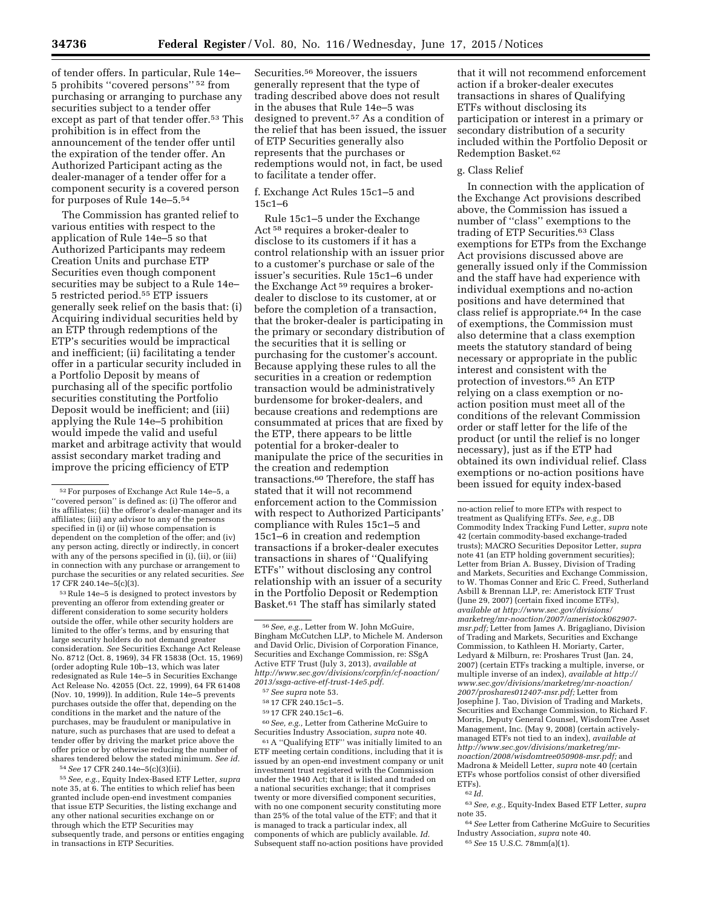of tender offers. In particular, Rule 14e– 5 prohibits ''covered persons'' 52 from purchasing or arranging to purchase any securities subject to a tender offer except as part of that tender offer.<sup>53</sup> This prohibition is in effect from the announcement of the tender offer until the expiration of the tender offer. An Authorized Participant acting as the dealer-manager of a tender offer for a component security is a covered person for purposes of Rule 14e–5.54

The Commission has granted relief to various entities with respect to the application of Rule 14e–5 so that Authorized Participants may redeem Creation Units and purchase ETP Securities even though component securities may be subject to a Rule 14e– 5 restricted period.55 ETP issuers generally seek relief on the basis that: (i) Acquiring individual securities held by an ETP through redemptions of the ETP's securities would be impractical and inefficient; (ii) facilitating a tender offer in a particular security included in a Portfolio Deposit by means of purchasing all of the specific portfolio securities constituting the Portfolio Deposit would be inefficient; and (iii) applying the Rule 14e–5 prohibition would impede the valid and useful market and arbitrage activity that would assist secondary market trading and improve the pricing efficiency of ETP

53Rule 14e–5 is designed to protect investors by preventing an offeror from extending greater or different consideration to some security holders outside the offer, while other security holders are limited to the offer's terms, and by ensuring that large security holders do not demand greater consideration. *See* Securities Exchange Act Release No. 8712 (Oct. 8, 1969), 34 FR 15838 (Oct. 15, 1969) (order adopting Rule 10b–13, which was later redesignated as Rule 14e–5 in Securities Exchange Act Release No. 42055 (Oct. 22, 1999), 64 FR 61408 (Nov. 10, 1999)). In addition, Rule 14e–5 prevents purchases outside the offer that, depending on the conditions in the market and the nature of the purchases, may be fraudulent or manipulative in nature, such as purchases that are used to defeat a tender offer by driving the market price above the offer price or by otherwise reducing the number of shares tendered below the stated minimum. *See id.* 

54*See* 17 CFR 240.14e–5(c)(3)(ii).

55*See, e.g.,* Equity Index-Based ETF Letter, *supra*  note 35, at 6. The entities to which relief has been granted include open-end investment companies that issue ETP Securities, the listing exchange and any other national securities exchange on or through which the ETP Securities may subsequently trade, and persons or entities engaging in transactions in ETP Securities.

Securities.56 Moreover, the issuers generally represent that the type of trading described above does not result in the abuses that Rule 14e–5 was designed to prevent.57 As a condition of the relief that has been issued, the issuer of ETP Securities generally also represents that the purchases or redemptions would not, in fact, be used to facilitate a tender offer.

### f. Exchange Act Rules 15c1–5 and 15c1–6

Rule 15c1–5 under the Exchange Act 58 requires a broker-dealer to disclose to its customers if it has a control relationship with an issuer prior to a customer's purchase or sale of the issuer's securities. Rule 15c1–6 under the Exchange Act 59 requires a brokerdealer to disclose to its customer, at or before the completion of a transaction, that the broker-dealer is participating in the primary or secondary distribution of the securities that it is selling or purchasing for the customer's account. Because applying these rules to all the securities in a creation or redemption transaction would be administratively burdensome for broker-dealers, and because creations and redemptions are consummated at prices that are fixed by the ETP, there appears to be little potential for a broker-dealer to manipulate the price of the securities in the creation and redemption transactions.60 Therefore, the staff has stated that it will not recommend enforcement action to the Commission with respect to Authorized Participants' compliance with Rules 15c1–5 and 15c1–6 in creation and redemption transactions if a broker-dealer executes transactions in shares of ''Qualifying ETFs'' without disclosing any control relationship with an issuer of a security in the Portfolio Deposit or Redemption Basket.61 The staff has similarly stated

60*See, e.g.,* Letter from Catherine McGuire to Securities Industry Association, *supra* note 40.

61A ''Qualifying ETF'' was initially limited to an ETF meeting certain conditions, including that it is issued by an open-end investment company or unit investment trust registered with the Commission under the 1940 Act; that it is listed and traded on a national securities exchange; that it comprises twenty or more diversified component securities, with no one component security constituting more than 25% of the total value of the ETF; and that it is managed to track a particular index, all components of which are publicly available. *Id.*  Subsequent staff no-action positions have provided

that it will not recommend enforcement action if a broker-dealer executes transactions in shares of Qualifying ETFs without disclosing its participation or interest in a primary or secondary distribution of a security included within the Portfolio Deposit or Redemption Basket.62

### g. Class Relief

In connection with the application of the Exchange Act provisions described above, the Commission has issued a number of ''class'' exemptions to the trading of ETP Securities.63 Class exemptions for ETPs from the Exchange Act provisions discussed above are generally issued only if the Commission and the staff have had experience with individual exemptions and no-action positions and have determined that class relief is appropriate.64 In the case of exemptions, the Commission must also determine that a class exemption meets the statutory standard of being necessary or appropriate in the public interest and consistent with the protection of investors.65 An ETP relying on a class exemption or noaction position must meet all of the conditions of the relevant Commission order or staff letter for the life of the product (or until the relief is no longer necessary), just as if the ETP had obtained its own individual relief. Class exemptions or no-action positions have been issued for equity index-based

63*See, e.g.,* Equity-Index Based ETF Letter, *supra*  note 35.

64*See* Letter from Catherine McGuire to Securities Industry Association, *supra* note 40.

65*See* 15 U.S.C. 78mm(a)(1).

<sup>52</sup>For purposes of Exchange Act Rule 14e–5, a ''covered person'' is defined as: (i) The offeror and its affiliates; (ii) the offeror's dealer-manager and its affiliates; (iii) any advisor to any of the persons specified in (i) or (ii) whose compensation is dependent on the completion of the offer; and (iv) any person acting, directly or indirectly, in concert with any of the persons specified in (i), (ii), or (iii) in connection with any purchase or arrangement to purchase the securities or any related securities. *See*  17 CFR 240.14e–5(c)(3).

<sup>56</sup>*See, e.g.,* Letter from W. John McGuire, Bingham McCutchen LLP, to Michele M. Anderson and David Orlic, Division of Corporation Finance, Securities and Exchange Commission, re: SSgA Active ETF Trust (July 3, 2013), *available at [http://www.sec.gov/divisions/corpfin/cf-noaction/](http://www.sec.gov/divisions/corpfin/cf-noaction/2013/ssga-active-etf-trust-14e5.pdf) [2013/ssga-active-etf-trust-14e5.pdf.](http://www.sec.gov/divisions/corpfin/cf-noaction/2013/ssga-active-etf-trust-14e5.pdf)* 

<sup>57</sup>*See supra* note 53.

<sup>58</sup> 17 CFR 240.15c1–5.

<sup>59</sup> 17 CFR 240.15c1–6.

no-action relief to more ETPs with respect to treatment as Qualifying ETFs. *See, e.g.,* DB Commodity Index Tracking Fund Letter, *supra* note 42 (certain commodity-based exchange-traded trusts); MACRO Securities Depositor Letter, *supra*  note 41 (an ETP holding government securities); Letter from Brian A. Bussey, Division of Trading and Markets, Securities and Exchange Commission, to W. Thomas Conner and Eric C. Freed, Sutherland Asbill & Brennan LLP, re: Ameristock ETF Trust (June 29, 2007) (certain fixed income ETFs), *available at [http://www.sec.gov/divisions/](http://www.sec.gov/divisions/marketreg/mr-noaction/2007/ameristock062907-msr.pdf) [marketreg/mr-noaction/2007/ameristock062907](http://www.sec.gov/divisions/marketreg/mr-noaction/2007/ameristock062907-msr.pdf)  [msr.pdf;](http://www.sec.gov/divisions/marketreg/mr-noaction/2007/ameristock062907-msr.pdf)* Letter from James A. Brigagliano, Division of Trading and Markets, Securities and Exchange Commission, to Kathleen H. Moriarty, Carter, Ledyard & Milburn, re: Proshares Trust (Jan. 24, 2007) (certain ETFs tracking a multiple, inverse, or multiple inverse of an index), *available at [http://](http://www.sec.gov/divisions/marketreg/mr-noaction/2007/proshares012407-msr.pdf) [www.sec.gov/divisions/marketreg/mr-noaction/](http://www.sec.gov/divisions/marketreg/mr-noaction/2007/proshares012407-msr.pdf)  [2007/proshares012407-msr.pdf;](http://www.sec.gov/divisions/marketreg/mr-noaction/2007/proshares012407-msr.pdf)* Letter from Josephine J. Tao, Division of Trading and Markets, Securities and Exchange Commission, to Richard F. Morris, Deputy General Counsel, WisdomTree Asset Management, Inc. (May 9, 2008) (certain activelymanaged ETFs not tied to an index), *available at [http://www.sec.gov/divisions/marketreg/mr](http://www.sec.gov/divisions/marketreg/mr-noaction/2008/wisdomtree050908-msr.pdf)[noaction/2008/wisdomtree050908-msr.pdf;](http://www.sec.gov/divisions/marketreg/mr-noaction/2008/wisdomtree050908-msr.pdf)* and Madrona & Meidell Letter, *supra* note 40 (certain ETFs whose portfolios consist of other diversified ETFs).

<sup>62</sup> *Id.*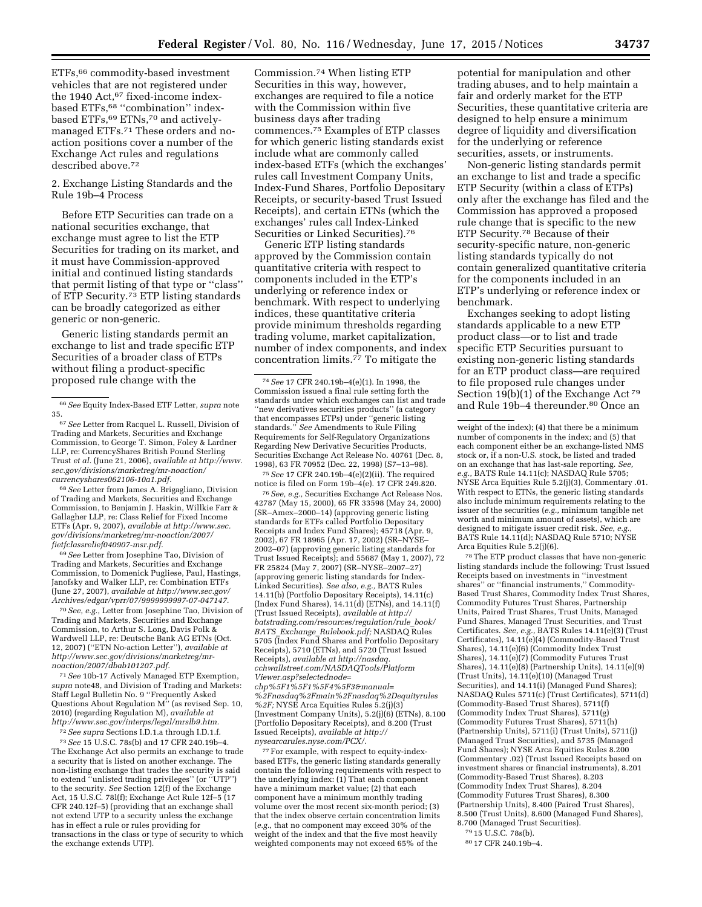ETFs,66 commodity-based investment vehicles that are not registered under the 1940 Act,<sup>67</sup> fixed-income indexbased ETFs,<sup>68</sup> "combination" indexbased ETFs,<sup>69</sup> ETNs,<sup>70</sup> and activelymanaged ETFs.71 These orders and noaction positions cover a number of the Exchange Act rules and regulations described above.72

2. Exchange Listing Standards and the Rule 19b–4 Process

Before ETP Securities can trade on a national securities exchange, that exchange must agree to list the ETP Securities for trading on its market, and it must have Commission-approved initial and continued listing standards that permit listing of that type or ''class'' of ETP Security.73 ETP listing standards can be broadly categorized as either generic or non-generic.

Generic listing standards permit an exchange to list and trade specific ETP Securities of a broader class of ETPs without filing a product-specific proposed rule change with the

68*See* Letter from James A. Brigagliano, Division of Trading and Markets, Securities and Exchange Commission, to Benjamin J. Haskin, Willkie Farr & Gallagher LLP, re: Class Relief for Fixed Income ETFs (Apr. 9, 2007), *available at [http://www.sec.](http://www.sec.gov/divisions/marketreg/mr-noaction/2007/fietfclassrelief040907-msr.pdf) [gov/divisions/marketreg/mr-noaction/2007/](http://www.sec.gov/divisions/marketreg/mr-noaction/2007/fietfclassrelief040907-msr.pdf) [fietfclassrelief040907-msr.pdf.](http://www.sec.gov/divisions/marketreg/mr-noaction/2007/fietfclassrelief040907-msr.pdf)* 

69*See* Letter from Josephine Tao, Division of Trading and Markets, Securities and Exchange Commission, to Domenick Pugliese, Paul, Hastings, Janofsky and Walker LLP, re: Combination ETFs (June 27, 2007), *available at [http://www.sec.gov/](http://www.sec.gov/Archives/edgar/vprr/07/9999999997-07-047147) [Archives/edgar/vprr/07/9999999997-07-047147.](http://www.sec.gov/Archives/edgar/vprr/07/9999999997-07-047147)* 

70*See, e.g.,* Letter from Josephine Tao, Division of Trading and Markets, Securities and Exchange Commission, to Arthur S. Long, Davis Polk & Wardwell LLP, re: Deutsche Bank AG ETNs (Oct. 12, 2007) (''ETN No-action Letter''), *available at [http://www.sec.gov/divisions/marketreg/mr](http://www.sec.gov/divisions/marketreg/mr-noaction/2007/dbab101207.pdf)[noaction/2007/dbab101207.pdf.](http://www.sec.gov/divisions/marketreg/mr-noaction/2007/dbab101207.pdf)* 

71*See* 10b-17 Actively Managed ETP Exemption, *supra* note48, and Division of Trading and Markets: Staff Legal Bulletin No. 9 ''Frequently Asked Questions About Regulation M'' (as revised Sep. 10, 2010) (regarding Regulation M), *available at [http://www.sec.gov/interps/legal/mrslb9.htm.](http://www.sec.gov/interps/legal/mrslb9.htm)* 

72*See supra* Sections I.D.1.a through I.D.1.f.

73*See* 15 U.S.C. 78s(b) and 17 CFR 240.19b–4. The Exchange Act also permits an exchange to trade a security that is listed on another exchange. The non-listing exchange that trades the security is said to extend ''unlisted trading privileges'' (or ''UTP'') to the security. *See* Section 12(f) of the Exchange Act, 15 U.S.C. 78l(f); Exchange Act Rule 12f–5 (17 CFR 240.12f–5) (providing that an exchange shall not extend UTP to a security unless the exchange has in effect a rule or rules providing for transactions in the class or type of security to which the exchange extends UTP).

Commission.74 When listing ETP Securities in this way, however, exchanges are required to file a notice with the Commission within five business days after trading commences.75 Examples of ETP classes for which generic listing standards exist include what are commonly called index-based ETFs (which the exchanges' rules call Investment Company Units, Index-Fund Shares, Portfolio Depositary Receipts, or security-based Trust Issued Receipts), and certain ETNs (which the exchanges' rules call Index-Linked Securities or Linked Securities).76

Generic ETP listing standards approved by the Commission contain quantitative criteria with respect to components included in the ETP's underlying or reference index or benchmark. With respect to underlying indices, these quantitative criteria provide minimum thresholds regarding trading volume, market capitalization, number of index components, and index concentration limits.<sup>77</sup> To mitigate the

75*See* 17 CFR 240.19b–4(e)(2)(ii). The required notice is filed on Form 19b–4(e). 17 CFR 249.820.

76*See, e.g.,* Securities Exchange Act Release Nos. 42787 (May 15, 2000), 65 FR 33598 (May 24, 2000) (SR–Amex–2000–14) (approving generic listing standards for ETFs called Portfolio Depositary Receipts and Index Fund Shares); 45718 (Apr. 9, 2002), 67 FR 18965 (Apr. 17, 2002) (SR–NYSE– 2002–07) (approving generic listing standards for Trust Issued Receipts); and 55687 (May 1, 2007), 72 FR 25824 (May 7, 2007) (SR–NYSE–2007–27) (approving generic listing standards for Index-Linked Securities). *See also, e.g.,* BATS Rules 14.11(b) (Portfolio Depositary Receipts), 14.11(c) (Index Fund Shares),  $14.11(d)$  (ETNs), and  $14.11(f)$ (Trust Issued Receipts), *available at [http://](http://batstrading.com/resources/regulation/rule_book/BATS_Exchange_Rulebook.pdf) [batstrading.com/resources/regulation/rule](http://batstrading.com/resources/regulation/rule_book/BATS_Exchange_Rulebook.pdf)*\_*book/ BATS*\_*Exchange*\_*[Rulebook.pdf;](http://batstrading.com/resources/regulation/rule_book/BATS_Exchange_Rulebook.pdf)* NASDAQ Rules 5705 (Index Fund Shares and Portfolio Depositary Receipts), 5710 (ETNs), and 5720 (Trust Issued Receipts), *available at [http://nasdaq.](http://nasdaq.cchwallstreet.com/NASDAQTools/PlatformViewer.asp?selectednode=chp%5F1%5F1%5F4%5F3&manual=%2Fnasdaq%2Fmain%2Fnasdaq%2Dequityrules%2F) [cchwallstreet.com/NASDAQTools/Platform](http://nasdaq.cchwallstreet.com/NASDAQTools/PlatformViewer.asp?selectednode=chp%5F1%5F1%5F4%5F3&manual=%2Fnasdaq%2Fmain%2Fnasdaq%2Dequityrules%2F) [Viewer.asp?selectednode=](http://nasdaq.cchwallstreet.com/NASDAQTools/PlatformViewer.asp?selectednode=chp%5F1%5F1%5F4%5F3&manual=%2Fnasdaq%2Fmain%2Fnasdaq%2Dequityrules%2F)*

*[chp%5F1%5F1%5F4%5F3&manual=](http://nasdaq.cchwallstreet.com/NASDAQTools/PlatformViewer.asp?selectednode=chp%5F1%5F1%5F4%5F3&manual=%2Fnasdaq%2Fmain%2Fnasdaq%2Dequityrules%2F) [%2Fnasdaq%2Fmain%2Fnasdaq%2Dequityrules](http://nasdaq.cchwallstreet.com/NASDAQTools/PlatformViewer.asp?selectednode=chp%5F1%5F1%5F4%5F3&manual=%2Fnasdaq%2Fmain%2Fnasdaq%2Dequityrules%2F) [%2F;](http://nasdaq.cchwallstreet.com/NASDAQTools/PlatformViewer.asp?selectednode=chp%5F1%5F1%5F4%5F3&manual=%2Fnasdaq%2Fmain%2Fnasdaq%2Dequityrules%2F)* NYSE Arca Equities Rules 5.2(j)(3) (Investment Company Units), 5.2(j)(6) (ETNs), 8.100 (Portfolio Depositary Receipts), and 8.200 (Trust Issued Receipts), *available at [http://](http://nysearcarules.nyse.com/PCX/)  [nysearcarules.nyse.com/PCX/.](http://nysearcarules.nyse.com/PCX/)* 

77For example, with respect to equity-indexbased ETFs, the generic listing standards generally contain the following requirements with respect to the underlying index: (1) That each component have a minimum market value; (2) that each component have a minimum monthly trading volume over the most recent six-month period; (3) that the index observe certain concentration limits (*e.g.,* that no component may exceed 30% of the weight of the index and that the five most heavily weighted components may not exceed 65% of the

potential for manipulation and other trading abuses, and to help maintain a fair and orderly market for the ETP Securities, these quantitative criteria are designed to help ensure a minimum degree of liquidity and diversification for the underlying or reference securities, assets, or instruments.

Non-generic listing standards permit an exchange to list and trade a specific ETP Security (within a class of ETPs) only after the exchange has filed and the Commission has approved a proposed rule change that is specific to the new ETP Security.78 Because of their security-specific nature, non-generic listing standards typically do not contain generalized quantitative criteria for the components included in an ETP's underlying or reference index or benchmark.

Exchanges seeking to adopt listing standards applicable to a new ETP product class—or to list and trade specific ETP Securities pursuant to existing non-generic listing standards for an ETP product class—are required to file proposed rule changes under Section 19(b)(1) of the Exchange Act<sup>79</sup> and Rule 19b–4 thereunder.80 Once an

78The ETP product classes that have non-generic listing standards include the following: Trust Issued Receipts based on investments in ''investment shares'' or ''financial instruments,'' Commodity-Based Trust Shares, Commodity Index Trust Shares, Commodity Futures Trust Shares, Partnership Units, Paired Trust Shares, Trust Units, Managed Fund Shares, Managed Trust Securities, and Trust Certificates. *See, e.g.,* BATS Rules 14.11(e)(3) (Trust Certificates), 14.11(e)(4) (Commodity-Based Trust Shares), 14.11(e)(6) (Commodity Index Trust Shares), 14.11(e)(7) (Commodity Futures Trust Shares), 14.11(e)(8) (Partnership Units), 14.11(e)(9) (Trust Units), 14.11(e)(10) (Managed Trust Securities), and 14.11(i) (Managed Fund Shares); NASDAQ Rules 5711(c) (Trust Certificates), 5711(d) (Commodity-Based Trust Shares), 5711(f) (Commodity Index Trust Shares), 5711(g) (Commodity Futures Trust Shares), 5711(h) (Partnership Units), 5711(i) (Trust Units), 5711(j) (Managed Trust Securities), and 5735 (Managed Fund Shares); NYSE Arca Equities Rules 8.200 (Commentary .02) (Trust Issued Receipts based on investment shares or financial instruments), 8.201 (Commodity-Based Trust Shares), 8.203 (Commodity Index Trust Shares), 8.204 (Commodity Futures Trust Shares), 8.300 (Partnership Units), 8.400 (Paired Trust Shares), 8.500 (Trust Units), 8.600 (Managed Fund Shares), 8.700 (Managed Trust Securities).

79 15 U.S.C. 78s(b).

<sup>66</sup>*See* Equity Index-Based ETF Letter, *supra* note 35.

<sup>67</sup>*See* Letter from Racquel L. Russell, Division of Trading and Markets, Securities and Exchange Commission, to George T. Simon, Foley & Lardner LLP, re: CurrencyShares British Pound Sterling Trust *et al.* (June 21, 2006), *available at [http://www.](http://www.sec.gov/divisions/marketreg/mr-noaction/currencyshares062106-10a1.pdf) [sec.gov/divisions/marketreg/mr-noaction/](http://www.sec.gov/divisions/marketreg/mr-noaction/currencyshares062106-10a1.pdf) [currencyshares062106-10a1.pdf.](http://www.sec.gov/divisions/marketreg/mr-noaction/currencyshares062106-10a1.pdf)* 

<sup>74</sup>*See* 17 CFR 240.19b–4(e)(1). In 1998, the Commission issued a final rule setting forth the standards under which exchanges can list and trade ''new derivatives securities products'' (a category that encompasses ETPs) under ''generic listing standards.'' *See* Amendments to Rule Filing Requirements for Self-Regulatory Organizations Regarding New Derivative Securities Products, Securities Exchange Act Release No. 40761 (Dec. 8, 1998), 63 FR 70952 (Dec. 22, 1998) (S7–13–98).

weight of the index); (4) that there be a minimum number of components in the index; and (5) that each component either be an exchange-listed NMS stock or, if a non-U.S. stock, be listed and traded on an exchange that has last-sale reporting. *See, e.g.,* BATS Rule 14.11(c); NASDAQ Rule 5705; NYSE Arca Equities Rule 5.2(j)(3), Commentary .01. With respect to ETNs, the generic listing standards also include minimum requirements relating to the issuer of the securities (*e.g.,* minimum tangible net worth and minimum amount of assets), which are designed to mitigate issuer credit risk. *See, e.g.,*  BATS Rule 14.11(d); NASDAQ Rule 5710; NYSE Arca Equities Rule 5.2(j)(6).

<sup>80</sup> 17 CFR 240.19b–4.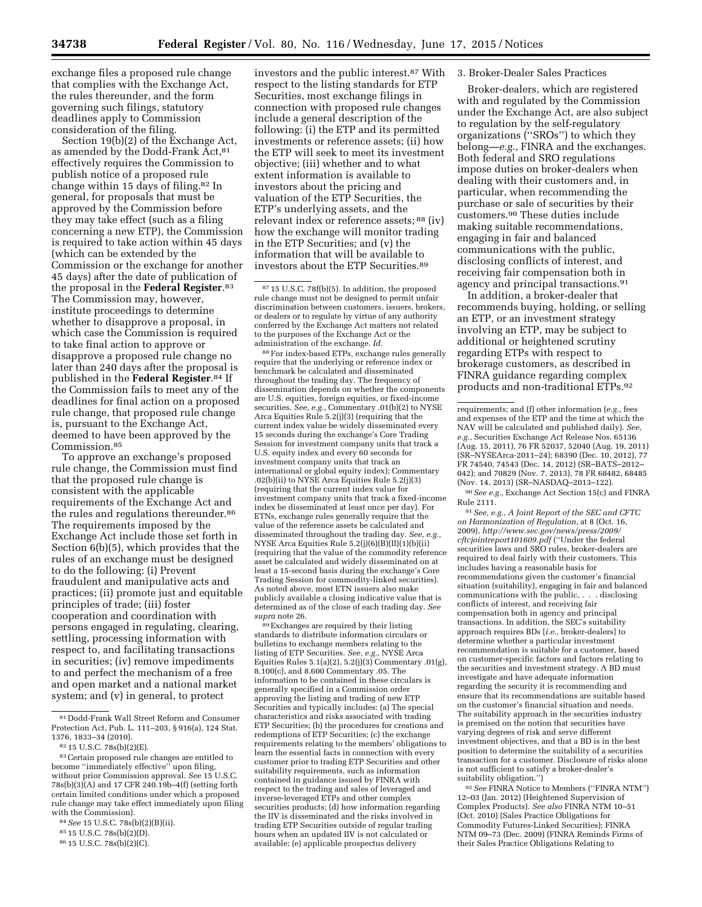exchange files a proposed rule change that complies with the Exchange Act, the rules thereunder, and the form governing such filings, statutory deadlines apply to Commission consideration of the filing.

Section 19(b)(2) of the Exchange Act, as amended by the Dodd-Frank Act, 81 effectively requires the Commission to publish notice of a proposed rule change within 15 days of filing.82 In general, for proposals that must be approved by the Commission before they may take effect (such as a filing concerning a new ETP), the Commission is required to take action within 45 days (which can be extended by the Commission or the exchange for another 45 days) after the date of publication of the proposal in the **Federal Register**.83 The Commission may, however, institute proceedings to determine whether to disapprove a proposal, in which case the Commission is required to take final action to approve or disapprove a proposed rule change no later than 240 days after the proposal is published in the **Federal Register**.84 If the Commission fails to meet any of the deadlines for final action on a proposed rule change, that proposed rule change is, pursuant to the Exchange Act, deemed to have been approved by the Commission.85

To approve an exchange's proposed rule change, the Commission must find that the proposed rule change is consistent with the applicable requirements of the Exchange Act and the rules and regulations thereunder.<sup>86</sup> The requirements imposed by the Exchange Act include those set forth in Section 6(b)(5), which provides that the rules of an exchange must be designed to do the following: (i) Prevent fraudulent and manipulative acts and practices; (ii) promote just and equitable principles of trade; (iii) foster cooperation and coordination with persons engaged in regulating, clearing, settling, processing information with respect to, and facilitating transactions in securities; (iv) remove impediments to and perfect the mechanism of a free and open market and a national market system; and (v) in general, to protect

investors and the public interest.87 With respect to the listing standards for ETP Securities, most exchange filings in connection with proposed rule changes include a general description of the following: (i) the ETP and its permitted investments or reference assets; (ii) how the ETP will seek to meet its investment objective; (iii) whether and to what extent information is available to investors about the pricing and valuation of the ETP Securities, the ETP's underlying assets, and the relevant index or reference assets; 88 (iv) how the exchange will monitor trading in the ETP Securities; and (v) the information that will be available to investors about the ETP Securities.89

88For index-based ETPs, exchange rules generally require that the underlying or reference index or benchmark be calculated and disseminated throughout the trading day. The frequency of dissemination depends on whether the components are U.S. equities, foreign equities, or fixed-income securities. *See, e.g.,* Commentary .01(b)(2) to NYSE Arca Equities Rule 5.2(j)(3) (requiring that the current index value be widely disseminated every 15 seconds during the exchange's Core Trading Session for investment company units that track a U.S. equity index and every 60 seconds for investment company units that track an international or global equity index); Commentary .02(b)(ii) to NYSE Arca Equities Rule 5.2(j)(3) (requiring that the current index value for investment company units that track a fixed-income index be disseminated at least once per day). For ETNs, exchange rules generally require that the value of the reference assets be calculated and disseminated throughout the trading day. *See, e.g.,*  NYSE Arca Equities Rule 5.2(j)(6)(B)(II)(1)(b)(ii) (requiring that the value of the commodity reference asset be calculated and widely disseminated on at least a 15-second basis during the exchange's Core Trading Session for commodity-linked securities). As noted above, most ETN issuers also make publicly available a closing indicative value that is determined as of the close of each trading day. *See* 

<sup>89</sup> Exchanges are required by their listing standards to distribute information circulars or bulletins to exchange members relating to the listing of ETP Securities. *See, e.g.,* NYSE Arca Equities Rules  $5.1(a)(2)$ ,  $5.2(j)(3)$  Commentary .01(g), 8.100(c), and 8.600 Commentary .05. The information to be contained in these circulars is generally specified in a Commission order approving the listing and trading of new ETP Securities and typically includes: (a) The special characteristics and risks associated with trading ETP Securities; (b) the procedures for creations and redemptions of ETP Securities; (c) the exchange requirements relating to the members' obligations to learn the essential facts in connection with every customer prior to trading ETP Securities and other suitability requirements, such as information contained in guidance issued by FINRA with respect to the trading and sales of leveraged and inverse-leveraged ETPs and other complex securities products; (d) how information regarding the IIV is disseminated and the risks involved in trading ETP Securities outside of regular trading hours when an updated IIV is not calculated or available; (e) applicable prospectus delivery

#### 3. Broker-Dealer Sales Practices

Broker-dealers, which are registered with and regulated by the Commission under the Exchange Act, are also subject to regulation by the self-regulatory organizations (''SROs'') to which they belong—*e.g.,* FINRA and the exchanges. Both federal and SRO regulations impose duties on broker-dealers when dealing with their customers and, in particular, when recommending the purchase or sale of securities by their customers.90 These duties include making suitable recommendations, engaging in fair and balanced communications with the public, disclosing conflicts of interest, and receiving fair compensation both in agency and principal transactions.91

In addition, a broker-dealer that recommends buying, holding, or selling an ETP, or an investment strategy involving an ETP, may be subject to additional or heightened scrutiny regarding ETPs with respect to brokerage customers, as described in FINRA guidance regarding complex products and non-traditional ETPs.92

90*See e.g.,* Exchange Act Section 15(c) and FINRA Rule 2111.

91*See, e.g., A Joint Report of the SEC and CFTC on Harmonization of Regulation,* at 8 (Oct. 16, 2009), *[http://www.sec.gov/news/press/2009/](http://www.sec.gov/news/press/2009/cftcjointreport101609.pdf) [cftcjointreport101609.pdf](http://www.sec.gov/news/press/2009/cftcjointreport101609.pdf)* (''Under the federal securities laws and SRO rules, broker-dealers are required to deal fairly with their customers. This includes having a reasonable basis for recommendations given the customer's financial situation (suitability), engaging in fair and balanced communications with the public, . . . disclosing conflicts of interest, and receiving fair compensation both in agency and principal transactions. In addition, the SEC's suitability approach requires BDs [*i.e.,* broker-dealers] to determine whether a particular investment recommendation is suitable for a customer, based on customer-specific factors and factors relating to the securities and investment strategy. A BD must investigate and have adequate information regarding the security it is recommending and ensure that its recommendations are suitable based on the customer's financial situation and needs. The suitability approach in the securities industry is premised on the notion that securities have varying degrees of risk and serve different investment objectives, and that a BD is in the best position to determine the suitability of a securities transaction for a customer. Disclosure of risks alone is not sufficient to satisfy a broker-dealer's suitability obligation.'')

92*See* FINRA Notice to Members (''FINRA NTM'') 12–03 (Jan. 2012) (Heightened Supervision of Complex Products). *See also* FINRA NTM 10–51 (Oct. 2010) (Sales Practice Obligations for Commodity Futures-Linked Securities); FINRA NTM 09–73 (Dec. 2009) (FINRA Reminds Firms of their Sales Practice Obligations Relating to

<sup>81</sup> Dodd-Frank Wall Street Reform and Consumer Protection Act, Pub. L. 111–203, § 916(a), 124 Stat. 1376, 1833–34 (2010).

<sup>82</sup> 15 U.S.C. 78s(b)(2)(E).

<sup>83</sup>Certain proposed rule changes are entitled to become ''immediately effective'' upon filing, without prior Commission approval. *See* 15 U.S.C. 78s(b)(3)(A) and 17 CFR 240.19b–4(f) (setting forth certain limited conditions under which a proposed rule change may take effect immediately upon filing with the Commission).

<sup>84</sup>*See* 15 U.S.C. 78s(b)(2)(B)(ii).

<sup>85</sup> 15 U.S.C. 78s(b)(2)(D).

<sup>86</sup> 15 U.S.C. 78s(b)(2)(C).

<sup>87</sup> 15 U.S.C. 78f(b)(5). In addition, the proposed rule change must not be designed to permit unfair discrimination between customers, issuers, brokers, or dealers or to regulate by virtue of any authority conferred by the Exchange Act matters not related to the purposes of the Exchange Act or the administration of the exchange. *Id.* 

requirements; and (f) other information (*e.g.,* fees and expenses of the ETP and the time at which the NAV will be calculated and published daily). *See, e.g.,* Securities Exchange Act Release Nos. 65136 (Aug. 15, 2011), 76 FR 52037, 52040 (Aug. 19, 2011) (SR–NYSEArca-2011–24); 68390 (Dec. 10, 2012), 77 FR 74540, 74543 (Dec. 14, 2012) (SR–BATS–2012– 042); and 70829 (Nov. 7, 2013), 78 FR 68482, 68485 (Nov. 14, 2013) (SR–NASDAQ–2013–122).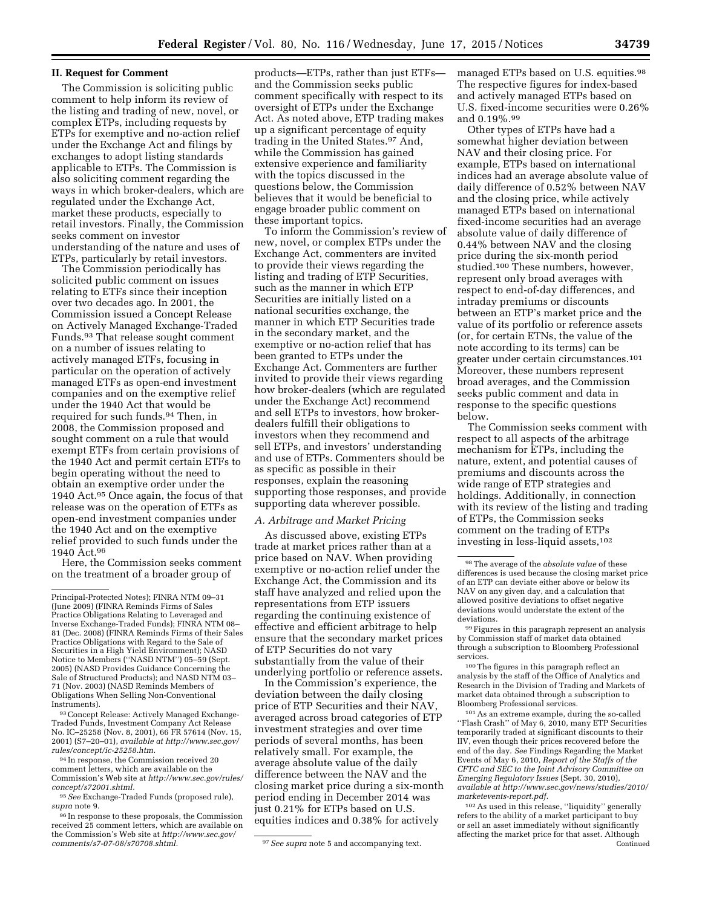### **II. Request for Comment**

The Commission is soliciting public comment to help inform its review of the listing and trading of new, novel, or complex ETPs, including requests by ETPs for exemptive and no-action relief under the Exchange Act and filings by exchanges to adopt listing standards applicable to ETPs. The Commission is also soliciting comment regarding the ways in which broker-dealers, which are regulated under the Exchange Act, market these products, especially to retail investors. Finally, the Commission seeks comment on investor understanding of the nature and uses of ETPs, particularly by retail investors.

The Commission periodically has solicited public comment on issues relating to ETFs since their inception over two decades ago. In 2001, the Commission issued a Concept Release on Actively Managed Exchange-Traded Funds.93 That release sought comment on a number of issues relating to actively managed ETFs, focusing in particular on the operation of actively managed ETFs as open-end investment companies and on the exemptive relief under the 1940 Act that would be required for such funds.94 Then, in 2008, the Commission proposed and sought comment on a rule that would exempt ETFs from certain provisions of the 1940 Act and permit certain ETFs to begin operating without the need to obtain an exemptive order under the 1940 Act.95 Once again, the focus of that release was on the operation of ETFs as open-end investment companies under the 1940 Act and on the exemptive relief provided to such funds under the 1940 Act.96

Here, the Commission seeks comment on the treatment of a broader group of

93Concept Release: Actively Managed Exchange-Traded Funds, Investment Company Act Release No. IC–25258 (Nov. 8, 2001), 66 FR 57614 (Nov. 15, 2001) (S7–20–01), *available at [http://www.sec.gov/](http://www.sec.gov/rules/concept/ic-25258.htm)  [rules/concept/ic-25258.htm.](http://www.sec.gov/rules/concept/ic-25258.htm)* 

94 In response, the Commission received 20 comment letters, which are available on the Commission's Web site at *[http://www.sec.gov/rules/](http://www.sec.gov/rules/concept/s72001.shtml) [concept/s72001.shtml.](http://www.sec.gov/rules/concept/s72001.shtml)* 

95*See* Exchange-Traded Funds (proposed rule), *supra* note 9.

<sup>96</sup> In response to these proposals, the Commission received 25 comment letters, which are available on the Commission's Web site at *[http://www.sec.gov/](http://www.sec.gov/comments/s7-07-08/s70708.shtml)* 

products—ETPs, rather than just ETFs and the Commission seeks public comment specifically with respect to its oversight of ETPs under the Exchange Act. As noted above, ETP trading makes up a significant percentage of equity trading in the United States.97 And, while the Commission has gained extensive experience and familiarity with the topics discussed in the questions below, the Commission believes that it would be beneficial to engage broader public comment on these important topics.

To inform the Commission's review of new, novel, or complex ETPs under the Exchange Act, commenters are invited to provide their views regarding the listing and trading of ETP Securities, such as the manner in which ETP Securities are initially listed on a national securities exchange, the manner in which ETP Securities trade in the secondary market, and the exemptive or no-action relief that has been granted to ETPs under the Exchange Act. Commenters are further invited to provide their views regarding how broker-dealers (which are regulated under the Exchange Act) recommend and sell ETPs to investors, how brokerdealers fulfill their obligations to investors when they recommend and sell ETPs, and investors' understanding and use of ETPs. Commenters should be as specific as possible in their responses, explain the reasoning supporting those responses, and provide supporting data wherever possible.

### *A. Arbitrage and Market Pricing*

As discussed above, existing ETPs trade at market prices rather than at a price based on NAV. When providing exemptive or no-action relief under the Exchange Act, the Commission and its staff have analyzed and relied upon the representations from ETP issuers regarding the continuing existence of effective and efficient arbitrage to help ensure that the secondary market prices of ETP Securities do not vary substantially from the value of their underlying portfolio or reference assets.

In the Commission's experience, the deviation between the daily closing price of ETP Securities and their NAV, averaged across broad categories of ETP investment strategies and over time periods of several months, has been relatively small. For example, the average absolute value of the daily difference between the NAV and the closing market price during a six-month period ending in December 2014 was just 0.21% for ETPs based on U.S. equities indices and 0.38% for actively

managed ETPs based on U.S. equities.98 The respective figures for index-based and actively managed ETPs based on U.S. fixed-income securities were 0.26% and 0.19%.99

Other types of ETPs have had a somewhat higher deviation between NAV and their closing price. For example, ETPs based on international indices had an average absolute value of daily difference of 0.52% between NAV and the closing price, while actively managed ETPs based on international fixed-income securities had an average absolute value of daily difference of 0.44% between NAV and the closing price during the six-month period studied.100 These numbers, however, represent only broad averages with respect to end-of-day differences, and intraday premiums or discounts between an ETP's market price and the value of its portfolio or reference assets (or, for certain ETNs, the value of the note according to its terms) can be greater under certain circumstances.101 Moreover, these numbers represent broad averages, and the Commission seeks public comment and data in response to the specific questions below.

The Commission seeks comment with respect to all aspects of the arbitrage mechanism for ETPs, including the nature, extent, and potential causes of premiums and discounts across the wide range of ETP strategies and holdings. Additionally, in connection with its review of the listing and trading of ETPs, the Commission seeks comment on the trading of ETPs investing in less-liquid assets,102

101As an extreme example, during the so-called ''Flash Crash'' of May 6, 2010, many ETP Securities temporarily traded at significant discounts to their IIV, even though their prices recovered before the end of the day. *See* Findings Regarding the Market Events of May 6, 2010, *Report of the Staffs of the CFTC and SEC to the Joint Advisory Committee on Emerging Regulatory Issues* (Sept. 30, 2010), *available at [http://www.sec.gov/news/studies/2010/](http://www.sec.gov/news/studies/2010/marketevents-report.pdf) [marketevents-report.pdf.](http://www.sec.gov/news/studies/2010/marketevents-report.pdf)* 

102As used in this release, ''liquidity'' generally refers to the ability of a market participant to buy or sell an asset immediately without significantly affecting the market price for that asset. Although **Continued** 

Principal-Protected Notes); FINRA NTM 09–31 (June 2009) (FINRA Reminds Firms of Sales Practice Obligations Relating to Leveraged and Inverse Exchange-Traded Funds); FINRA NTM 08– 81 (Dec. 2008) (FINRA Reminds Firms of their Sales Practice Obligations with Regard to the Sale of Securities in a High Yield Environment); NASD Notice to Members (''NASD NTM'') 05–59 (Sept. 2005) (NASD Provides Guidance Concerning the Sale of Structured Products); and NASD NTM 03– 71 (Nov. 2003) (NASD Reminds Members of Obligations When Selling Non-Conventional Instruments).

<sup>&</sup>lt;sup>97</sup> See supra note 5 and accompanying text.

<sup>98</sup>The average of the *absolute value* of these differences is used because the closing market price of an ETP can deviate either above or below its NAV on any given day, and a calculation that allowed positive deviations to offset negative deviations would understate the extent of the deviations.

<sup>99</sup>Figures in this paragraph represent an analysis by Commission staff of market data obtained through a subscription to Bloomberg Professional services.

<sup>100</sup>The figures in this paragraph reflect an analysis by the staff of the Office of Analytics and Research in the Division of Trading and Markets of market data obtained through a subscription to Bloomberg Professional services.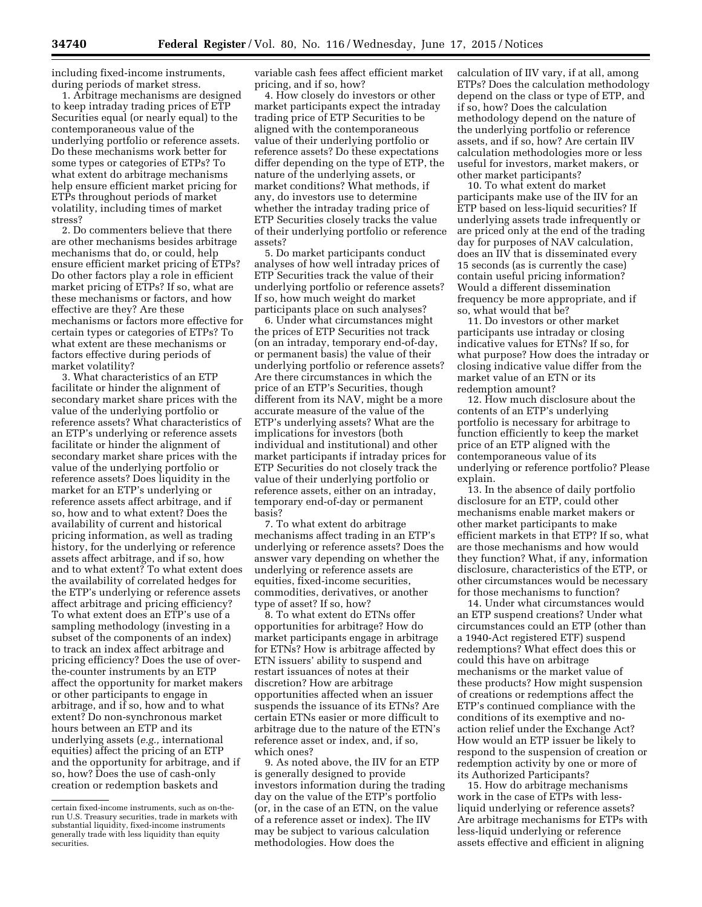including fixed-income instruments, during periods of market stress.

1. Arbitrage mechanisms are designed to keep intraday trading prices of ETP Securities equal (or nearly equal) to the contemporaneous value of the underlying portfolio or reference assets. Do these mechanisms work better for some types or categories of ETPs? To what extent do arbitrage mechanisms help ensure efficient market pricing for ETPs throughout periods of market volatility, including times of market stress?

2. Do commenters believe that there are other mechanisms besides arbitrage mechanisms that do, or could, help ensure efficient market pricing of ETPs? Do other factors play a role in efficient market pricing of ETPs? If so, what are these mechanisms or factors, and how effective are they? Are these mechanisms or factors more effective for certain types or categories of ETPs? To what extent are these mechanisms or factors effective during periods of market volatility?

3. What characteristics of an ETP facilitate or hinder the alignment of secondary market share prices with the value of the underlying portfolio or reference assets? What characteristics of an ETP's underlying or reference assets facilitate or hinder the alignment of secondary market share prices with the value of the underlying portfolio or reference assets? Does liquidity in the market for an ETP's underlying or reference assets affect arbitrage, and if so, how and to what extent? Does the availability of current and historical pricing information, as well as trading history, for the underlying or reference assets affect arbitrage, and if so, how and to what extent? To what extent does the availability of correlated hedges for the ETP's underlying or reference assets affect arbitrage and pricing efficiency? To what extent does an ETP's use of a sampling methodology (investing in a subset of the components of an index) to track an index affect arbitrage and pricing efficiency? Does the use of overthe-counter instruments by an ETP affect the opportunity for market makers or other participants to engage in arbitrage, and if so, how and to what extent? Do non-synchronous market hours between an ETP and its underlying assets (*e.g.,* international equities) affect the pricing of an ETP and the opportunity for arbitrage, and if so, how? Does the use of cash-only creation or redemption baskets and

variable cash fees affect efficient market pricing, and if so, how?

4. How closely do investors or other market participants expect the intraday trading price of ETP Securities to be aligned with the contemporaneous value of their underlying portfolio or reference assets? Do these expectations differ depending on the type of ETP, the nature of the underlying assets, or market conditions? What methods, if any, do investors use to determine whether the intraday trading price of ETP Securities closely tracks the value of their underlying portfolio or reference assets?

5. Do market participants conduct analyses of how well intraday prices of ETP Securities track the value of their underlying portfolio or reference assets? If so, how much weight do market participants place on such analyses?

6. Under what circumstances might the prices of ETP Securities not track (on an intraday, temporary end-of-day, or permanent basis) the value of their underlying portfolio or reference assets? Are there circumstances in which the price of an ETP's Securities, though different from its NAV, might be a more accurate measure of the value of the ETP's underlying assets? What are the implications for investors (both individual and institutional) and other market participants if intraday prices for ETP Securities do not closely track the value of their underlying portfolio or reference assets, either on an intraday, temporary end-of-day or permanent basis?

7. To what extent do arbitrage mechanisms affect trading in an ETP's underlying or reference assets? Does the answer vary depending on whether the underlying or reference assets are equities, fixed-income securities, commodities, derivatives, or another type of asset? If so, how?

8. To what extent do ETNs offer opportunities for arbitrage? How do market participants engage in arbitrage for ETNs? How is arbitrage affected by ETN issuers' ability to suspend and restart issuances of notes at their discretion? How are arbitrage opportunities affected when an issuer suspends the issuance of its ETNs? Are certain ETNs easier or more difficult to arbitrage due to the nature of the ETN's reference asset or index, and, if so, which ones?

9. As noted above, the IIV for an ETP is generally designed to provide investors information during the trading day on the value of the ETP's portfolio (or, in the case of an ETN, on the value of a reference asset or index). The IIV may be subject to various calculation methodologies. How does the

calculation of IIV vary, if at all, among ETPs? Does the calculation methodology depend on the class or type of ETP, and if so, how? Does the calculation methodology depend on the nature of the underlying portfolio or reference assets, and if so, how? Are certain IIV calculation methodologies more or less useful for investors, market makers, or other market participants?

10. To what extent do market participants make use of the IIV for an ETP based on less-liquid securities? If underlying assets trade infrequently or are priced only at the end of the trading day for purposes of NAV calculation, does an IIV that is disseminated every 15 seconds (as is currently the case) contain useful pricing information? Would a different dissemination frequency be more appropriate, and if so, what would that be?

11. Do investors or other market participants use intraday or closing indicative values for ETNs? If so, for what purpose? How does the intraday or closing indicative value differ from the market value of an ETN or its redemption amount?

12. How much disclosure about the contents of an ETP's underlying portfolio is necessary for arbitrage to function efficiently to keep the market price of an ETP aligned with the contemporaneous value of its underlying or reference portfolio? Please explain.

13. In the absence of daily portfolio disclosure for an ETP, could other mechanisms enable market makers or other market participants to make efficient markets in that ETP? If so, what are those mechanisms and how would they function? What, if any, information disclosure, characteristics of the ETP, or other circumstances would be necessary for those mechanisms to function?

14. Under what circumstances would an ETP suspend creations? Under what circumstances could an ETP (other than a 1940-Act registered ETF) suspend redemptions? What effect does this or could this have on arbitrage mechanisms or the market value of these products? How might suspension of creations or redemptions affect the ETP's continued compliance with the conditions of its exemptive and noaction relief under the Exchange Act? How would an ETP issuer be likely to respond to the suspension of creation or redemption activity by one or more of its Authorized Participants?

15. How do arbitrage mechanisms work in the case of ETPs with lessliquid underlying or reference assets? Are arbitrage mechanisms for ETPs with less-liquid underlying or reference assets effective and efficient in aligning

certain fixed-income instruments, such as on-therun U.S. Treasury securities, trade in markets with substantial liquidity, fixed-income instruments generally trade with less liquidity than equity securities.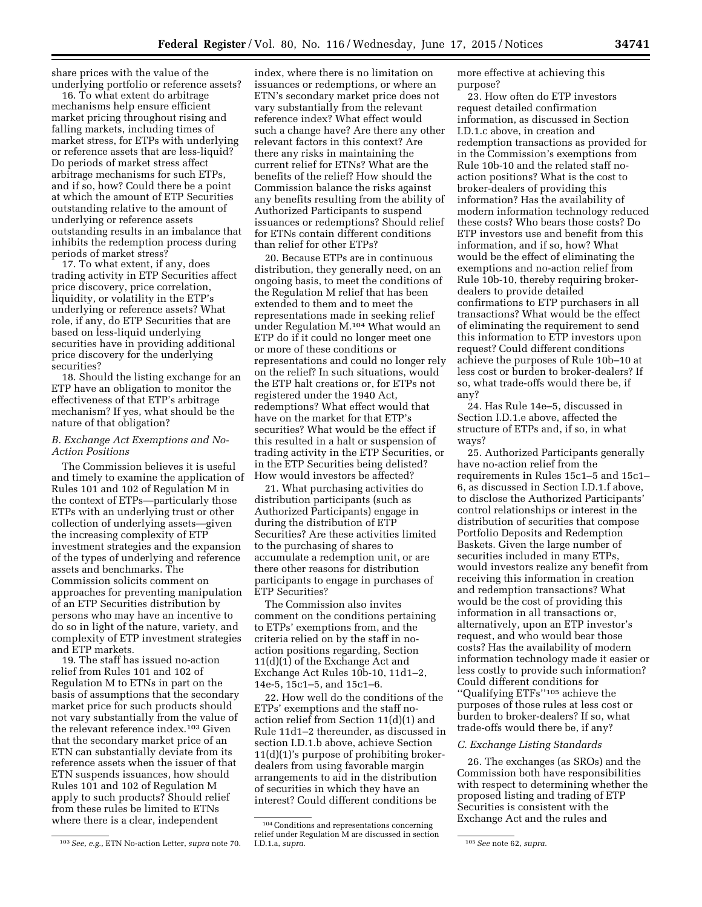share prices with the value of the underlying portfolio or reference assets?

16. To what extent do arbitrage mechanisms help ensure efficient market pricing throughout rising and falling markets, including times of market stress, for ETPs with underlying or reference assets that are less-liquid? Do periods of market stress affect arbitrage mechanisms for such ETPs, and if so, how? Could there be a point at which the amount of ETP Securities outstanding relative to the amount of underlying or reference assets outstanding results in an imbalance that inhibits the redemption process during periods of market stress?

17. To what extent, if any, does trading activity in ETP Securities affect price discovery, price correlation, liquidity, or volatility in the ETP's underlying or reference assets? What role, if any, do ETP Securities that are based on less-liquid underlying securities have in providing additional price discovery for the underlying securities?

18. Should the listing exchange for an ETP have an obligation to monitor the effectiveness of that ETP's arbitrage mechanism? If yes, what should be the nature of that obligation?

### *B. Exchange Act Exemptions and No-Action Positions*

The Commission believes it is useful and timely to examine the application of Rules 101 and 102 of Regulation M in the context of ETPs—particularly those ETPs with an underlying trust or other collection of underlying assets—given the increasing complexity of ETP investment strategies and the expansion of the types of underlying and reference assets and benchmarks. The Commission solicits comment on approaches for preventing manipulation of an ETP Securities distribution by persons who may have an incentive to do so in light of the nature, variety, and complexity of ETP investment strategies and ETP markets.

19. The staff has issued no-action relief from Rules 101 and 102 of Regulation M to ETNs in part on the basis of assumptions that the secondary market price for such products should not vary substantially from the value of the relevant reference index.103 Given that the secondary market price of an ETN can substantially deviate from its reference assets when the issuer of that ETN suspends issuances, how should Rules 101 and 102 of Regulation M apply to such products? Should relief from these rules be limited to ETNs where there is a clear, independent

index, where there is no limitation on issuances or redemptions, or where an ETN's secondary market price does not vary substantially from the relevant reference index? What effect would such a change have? Are there any other relevant factors in this context? Are there any risks in maintaining the current relief for ETNs? What are the benefits of the relief? How should the Commission balance the risks against any benefits resulting from the ability of Authorized Participants to suspend issuances or redemptions? Should relief for ETNs contain different conditions than relief for other ETPs?

20. Because ETPs are in continuous distribution, they generally need, on an ongoing basis, to meet the conditions of the Regulation M relief that has been extended to them and to meet the representations made in seeking relief under Regulation M.104 What would an ETP do if it could no longer meet one or more of these conditions or representations and could no longer rely on the relief? In such situations, would the ETP halt creations or, for ETPs not registered under the 1940 Act, redemptions? What effect would that have on the market for that ETP's securities? What would be the effect if this resulted in a halt or suspension of trading activity in the ETP Securities, or in the ETP Securities being delisted? How would investors be affected?

21. What purchasing activities do distribution participants (such as Authorized Participants) engage in during the distribution of ETP Securities? Are these activities limited to the purchasing of shares to accumulate a redemption unit, or are there other reasons for distribution participants to engage in purchases of ETP Securities?

The Commission also invites comment on the conditions pertaining to ETPs' exemptions from, and the criteria relied on by the staff in noaction positions regarding, Section 11(d)(1) of the Exchange Act and Exchange Act Rules 10b-10, 11d1–2, 14e-5, 15c1–5, and 15c1–6.

22. How well do the conditions of the ETPs' exemptions and the staff noaction relief from Section 11(d)(1) and Rule 11d1–2 thereunder, as discussed in section I.D.1.b above, achieve Section 11(d)(1)'s purpose of prohibiting brokerdealers from using favorable margin arrangements to aid in the distribution of securities in which they have an interest? Could different conditions be

more effective at achieving this purpose?

23. How often do ETP investors request detailed confirmation information, as discussed in Section I.D.1.c above, in creation and redemption transactions as provided for in the Commission's exemptions from Rule 10b-10 and the related staff noaction positions? What is the cost to broker-dealers of providing this information? Has the availability of modern information technology reduced these costs? Who bears those costs? Do ETP investors use and benefit from this information, and if so, how? What would be the effect of eliminating the exemptions and no-action relief from Rule 10b-10, thereby requiring brokerdealers to provide detailed confirmations to ETP purchasers in all transactions? What would be the effect of eliminating the requirement to send this information to ETP investors upon request? Could different conditions achieve the purposes of Rule 10b–10 at less cost or burden to broker-dealers? If so, what trade-offs would there be, if any?

24. Has Rule 14e–5, discussed in Section I.D.1.e above, affected the structure of ETPs and, if so, in what ways?

25. Authorized Participants generally have no-action relief from the requirements in Rules 15c1–5 and 15c1– 6, as discussed in Section I.D.1.f above, to disclose the Authorized Participants' control relationships or interest in the distribution of securities that compose Portfolio Deposits and Redemption Baskets. Given the large number of securities included in many ETPs, would investors realize any benefit from receiving this information in creation and redemption transactions? What would be the cost of providing this information in all transactions or, alternatively, upon an ETP investor's request, and who would bear those costs? Has the availability of modern information technology made it easier or less costly to provide such information? Could different conditions for ''Qualifying ETFs''105 achieve the purposes of those rules at less cost or burden to broker-dealers? If so, what trade-offs would there be, if any?

#### *C. Exchange Listing Standards*

26. The exchanges (as SROs) and the Commission both have responsibilities with respect to determining whether the proposed listing and trading of ETP Securities is consistent with the Exchange Act and the rules and

<sup>103</sup>*See, e.g.,* ETN No-action Letter, *supra* note 70.

<sup>104</sup>Conditions and representations concerning relief under Regulation  $\overline{M}$  are discussed in section I.D.1.a, supra.

I.D.1.a, *supra.* 105*See* note 62, *supra.*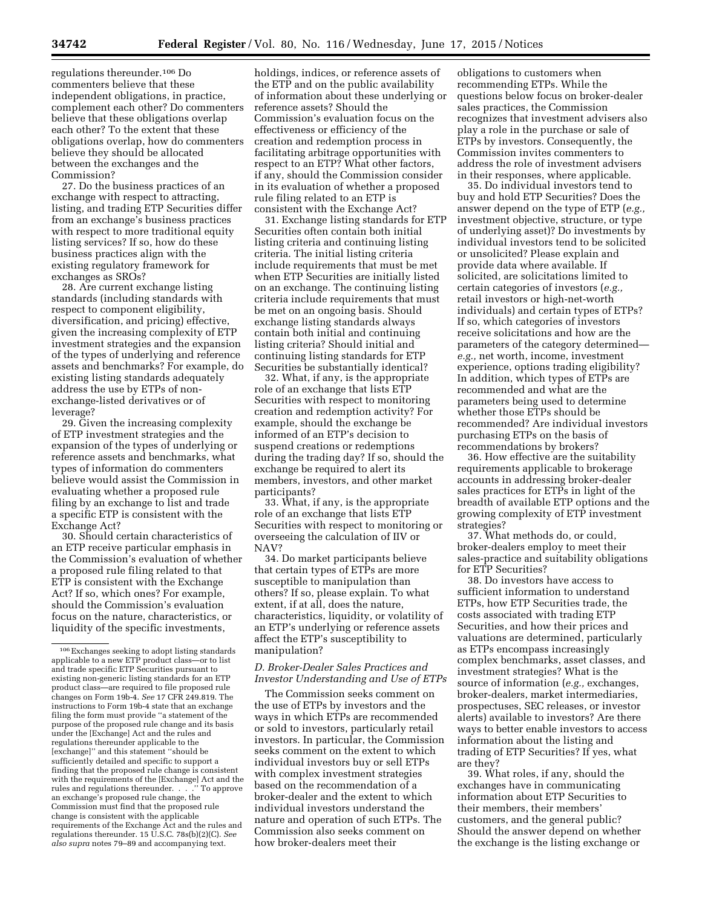regulations thereunder.106 Do commenters believe that these independent obligations, in practice, complement each other? Do commenters believe that these obligations overlap each other? To the extent that these obligations overlap, how do commenters believe they should be allocated between the exchanges and the Commission?

27. Do the business practices of an exchange with respect to attracting, listing, and trading ETP Securities differ from an exchange's business practices with respect to more traditional equity listing services? If so, how do these business practices align with the existing regulatory framework for exchanges as SROs?

28. Are current exchange listing standards (including standards with respect to component eligibility, diversification, and pricing) effective, given the increasing complexity of ETP investment strategies and the expansion of the types of underlying and reference assets and benchmarks? For example, do existing listing standards adequately address the use by ETPs of nonexchange-listed derivatives or of leverage?

29. Given the increasing complexity of ETP investment strategies and the expansion of the types of underlying or reference assets and benchmarks, what types of information do commenters believe would assist the Commission in evaluating whether a proposed rule filing by an exchange to list and trade a specific ETP is consistent with the Exchange Act?

30. Should certain characteristics of an ETP receive particular emphasis in the Commission's evaluation of whether a proposed rule filing related to that ETP is consistent with the Exchange Act? If so, which ones? For example, should the Commission's evaluation focus on the nature, characteristics, or liquidity of the specific investments,

holdings, indices, or reference assets of the ETP and on the public availability of information about these underlying or reference assets? Should the Commission's evaluation focus on the effectiveness or efficiency of the creation and redemption process in facilitating arbitrage opportunities with respect to an ETP? What other factors, if any, should the Commission consider in its evaluation of whether a proposed rule filing related to an ETP is consistent with the Exchange Act?

31. Exchange listing standards for ETP Securities often contain both initial listing criteria and continuing listing criteria. The initial listing criteria include requirements that must be met when ETP Securities are initially listed on an exchange. The continuing listing criteria include requirements that must be met on an ongoing basis. Should exchange listing standards always contain both initial and continuing listing criteria? Should initial and continuing listing standards for ETP Securities be substantially identical?

32. What, if any, is the appropriate role of an exchange that lists ETP Securities with respect to monitoring creation and redemption activity? For example, should the exchange be informed of an ETP's decision to suspend creations or redemptions during the trading day? If so, should the exchange be required to alert its members, investors, and other market participants?

33. What, if any, is the appropriate role of an exchange that lists ETP Securities with respect to monitoring or overseeing the calculation of IIV or NAV?

34. Do market participants believe that certain types of ETPs are more susceptible to manipulation than others? If so, please explain. To what extent, if at all, does the nature, characteristics, liquidity, or volatility of an ETP's underlying or reference assets affect the ETP's susceptibility to manipulation?

### *D. Broker-Dealer Sales Practices and Investor Understanding and Use of ETPs*

The Commission seeks comment on the use of ETPs by investors and the ways in which ETPs are recommended or sold to investors, particularly retail investors. In particular, the Commission seeks comment on the extent to which individual investors buy or sell ETPs with complex investment strategies based on the recommendation of a broker-dealer and the extent to which individual investors understand the nature and operation of such ETPs. The Commission also seeks comment on how broker-dealers meet their

obligations to customers when recommending ETPs. While the questions below focus on broker-dealer sales practices, the Commission recognizes that investment advisers also play a role in the purchase or sale of ETPs by investors. Consequently, the Commission invites commenters to address the role of investment advisers in their responses, where applicable.

35. Do individual investors tend to buy and hold ETP Securities? Does the answer depend on the type of ETP (*e.g.,*  investment objective, structure, or type of underlying asset)? Do investments by individual investors tend to be solicited or unsolicited? Please explain and provide data where available. If solicited, are solicitations limited to certain categories of investors (*e.g.,*  retail investors or high-net-worth individuals) and certain types of ETPs? If so, which categories of investors receive solicitations and how are the parameters of the category determined *e.g.,* net worth, income, investment experience, options trading eligibility? In addition, which types of ETPs are recommended and what are the parameters being used to determine whether those ETPs should be recommended? Are individual investors purchasing ETPs on the basis of recommendations by brokers?

36. How effective are the suitability requirements applicable to brokerage accounts in addressing broker-dealer sales practices for ETPs in light of the breadth of available ETP options and the growing complexity of ETP investment strategies?

37. What methods do, or could, broker-dealers employ to meet their sales-practice and suitability obligations for ETP Securities?

38. Do investors have access to sufficient information to understand ETPs, how ETP Securities trade, the costs associated with trading ETP Securities, and how their prices and valuations are determined, particularly as ETPs encompass increasingly complex benchmarks, asset classes, and investment strategies? What is the source of information (*e.g.,* exchanges, broker-dealers, market intermediaries, prospectuses, SEC releases, or investor alerts) available to investors? Are there ways to better enable investors to access information about the listing and trading of ETP Securities? If yes, what are they?

39. What roles, if any, should the exchanges have in communicating information about ETP Securities to their members, their members' customers, and the general public? Should the answer depend on whether the exchange is the listing exchange or

<sup>106</sup>Exchanges seeking to adopt listing standards applicable to a new ETP product class—or to list and trade specific ETP Securities pursuant to existing non-generic listing standards for an ETP product class—are required to file proposed rule changes on Form 19b-4. *See* 17 CFR 249.819. The instructions to Form 19b-4 state that an exchange filing the form must provide ''a statement of the purpose of the proposed rule change and its basis under the [Exchange] Act and the rules and regulations thereunder applicable to the [exchange]'' and this statement ''should be sufficiently detailed and specific to support a finding that the proposed rule change is consistent with the requirements of the [Exchange] Act and the rules and regulations thereunder. . . . . " To approve rules and regulations thereunder.  $\ldots$ . an exchange's proposed rule change, the Commission must find that the proposed rule change is consistent with the applicable requirements of the Exchange Act and the rules and regulations thereunder. 15 U.S.C. 78s(b)(2)(C). *See also supra* notes 79–89 and accompanying text.